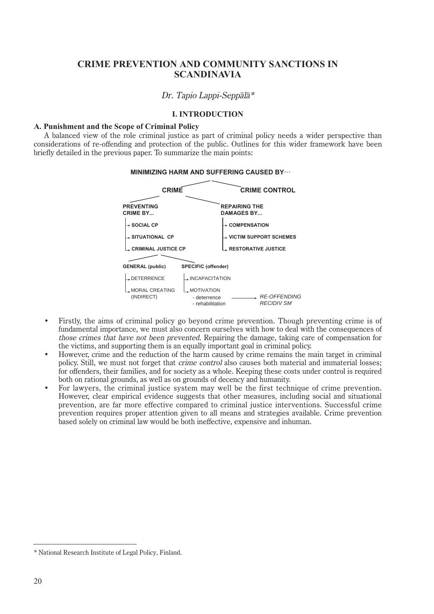# **CRIME PREVENTION AND COMMUNITY SANCTIONS IN SCANDINAVIA**

# Dr. Tapio Lappi-Seppälä\*

# **I. INTRODUCTION**

# **A. Punishment and the Scope of Criminal Policy**

A balanced view of the role criminal justice as part of criminal policy needs a wider perspective than considerations of re-offending and protection of the public. Outlines for this wider framework have been briefly detailed in the previous paper. To summarize the main points:



- Firstly, the aims of criminal policy go beyond crime prevention. Though preventing crime is of fundamental importance, we must also concern ourselves with how to deal with the consequences of those crimes that have not been prevented. Repairing the damage, taking care of compensation for the victims, and supporting them is an equally important goal in criminal policy.
- However, crime and the reduction of the harm caused by crime remains the main target in criminal policy. Still, we must not forget that crime control also causes both material and immaterial losses; for offenders, their families, and for society as a whole. Keeping these costs under control is required both on rational grounds, as well as on grounds of decency and humanity.
- For lawyers, the criminal justice system may well be the first technique of crime prevention. However, clear empirical evidence suggests that other measures, including social and situational prevention, are far more effective compared to criminal justice interventions. Successful crime prevention requires proper attention given to all means and strategies available. Crime prevention based solely on criminal law would be both ineffective, expensive and inhuman.

<sup>\*</sup> National Research Institute of Legal Policy, Finland.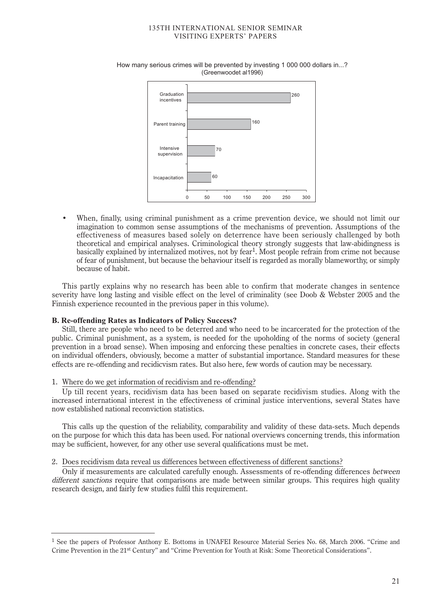

How many serious crimes will be prevented by investing 1 000 000 dollars in...? (Greenwoodet al1996)

• When, finally, using criminal punishment as a crime prevention device, we should not limit our imagination to common sense assumptions of the mechanisms of prevention. Assumptions of the effectiveness of measures based solely on deterrence have been seriously challenged by both theoretical and empirical analyses. Criminological theory strongly suggests that law-abidingness is basically explained by internalized motives, not by fear1. Most people refrain from crime not because of fear of punishment, but because the behaviour itself is regarded as morally blameworthy, or simply because of habit.

This partly explains why no research has been able to confirm that moderate changes in sentence severity have long lasting and visible effect on the level of criminality (see Doob & Webster 2005 and the Finnish experience recounted in the previous paper in this volume).

# **B. Re-offending Rates as Indicators of Policy Success?**

Still, there are people who need to be deterred and who need to be incarcerated for the protection of the public. Criminal punishment, as a system, is needed for the upoholding of the norms of society (general prevention in a broad sense). When imposing and enforcing these penalties in concrete cases, their effects on individual offenders, obviously, become a matter of substantial importance. Standard measures for these effects are re-offending and recidicvism rates. But also here, few words of caution may be necessary.

# 1. Where do we get information of recidivism and re-offending?

Up till recent years, recidivism data has been based on separate recidivism studies. Along with the increased international interest in the effectiveness of criminal justice interventions, several States have now established national reconviction statistics.

This calls up the question of the reliability, comparability and validity of these data-sets. Much depends on the purpose for which this data has been used. For national overviews concerning trends, this information may be sufficient, however, for any other use several qualifications must be met.

# 2. Does recidivism data reveal us differences between effectiveness of different sanctions?

Only if measurements are calculated carefully enough. Assessments of re-offending differences between different sanctions require that comparisons are made between similar groups. This requires high quality research design, and fairly few studies fulfil this requirement.

<sup>1</sup> See the papers of Professor Anthony E. Bottoms in UNAFEI Resource Material Series No. 68, March 2006. "Crime and Crime Prevention in the 21st Century" and "Crime Prevention for Youth at Risk: Some Theoretical Considerations".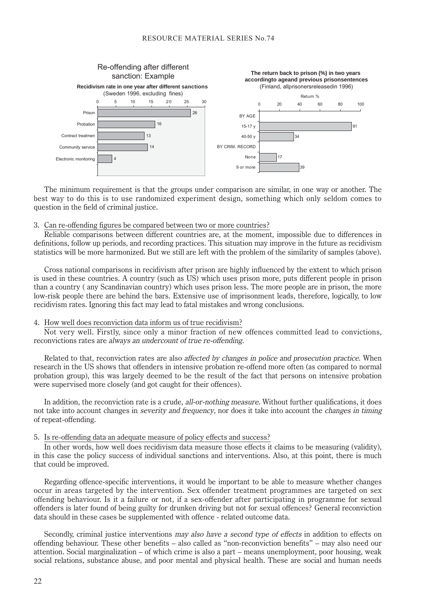

The minimum requirement is that the groups under comparison are similar, in one way or another. The best way to do this is to use randomized experiment design, something which only seldom comes to question in the field of criminal justice.

#### 3. Can re-offending figures be compared between two or more countries?

Reliable comparisons between different countries are, at the moment, impossible due to differences in definitions, follow up periods, and recording practices. This situation may improve in the future as recidivism statistics will be more harmonized. But we still are left with the problem of the similarity of samples (above).

Cross national comparisons in recidivism after prison are highly influenced by the extent to which prison is used in these countries. A country (such as US) which uses prison more, puts different people in prison than a country ( any Scandinavian country) which uses prison less. The more people are in prison, the more low-risk people there are behind the bars. Extensive use of imprisonment leads, therefore, logically, to low recidivism rates. Ignoring this fact may lead to fatal mistakes and wrong conclusions.

#### 4. How well does reconviction data inform us of true recidivism?

Not very well. Firstly, since only a minor fraction of new offences committed lead to convictions, reconvictions rates are always an undercount of true re-offending.

Related to that, reconviction rates are also *affected by changes in police and prosecution practice*. When research in the US shows that offenders in intensive probation re-offend more often (as compared to normal probation group), this was largely deemed to be the result of the fact that persons on intensive probation were supervised more closely (and got caught for their offences).

In addition, the reconviction rate is a crude, *all-or-nothing measure*. Without further qualifications, it does not take into account changes in severity and frequency, nor does it take into account the changes in timing of repeat-offending.

#### 5. Is re-offending data an adequate measure of policy effects and success?

In other words, how well does recidivism data measure those effects it claims to be measuring (validity), in this case the policy success of individual sanctions and interventions. Also, at this point, there is much that could be improved.

Regarding offence-specific interventions, it would be important to be able to measure whether changes occur in areas targeted by the intervention. Sex offender treatment programmes are targeted on sex offending behaviour. Is it a failure or not, if a sex-offender after participating in programme for sexual offenders is later found of being guilty for drunken driving but not for sexual offences? General reconviction data should in these cases be supplemented with offence - related outcome data.

Secondly, criminal justice interventions may also have a second type of effects in addition to effects on offending behaviour. These other benefits – also called as "non-reconviction benefits" – may also need our attention. Social marginalization – of which crime is also a part – means unemployment, poor housing, weak social relations, substance abuse, and poor mental and physical health. These are social and human needs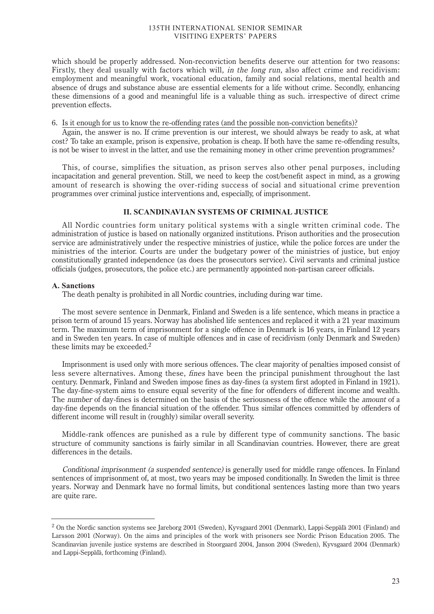which should be properly addressed. Non-reconviction benefits deserve our attention for two reasons: Firstly, they deal usually with factors which will, *in the long run*, also affect crime and recidivism: employment and meaningful work, vocational education, family and social relations, mental health and absence of drugs and substance abuse are essential elements for a life without crime. Secondly, enhancing these dimensions of a good and meaningful life is a valuable thing as such. irrespective of direct crime prevention effects.

# 6. Is it enough for us to know the re-offending rates (and the possible non-conviction benefits)?

Again, the answer is no. If crime prevention is our interest, we should always be ready to ask, at what cost? To take an example, prison is expensive, probation is cheap. If both have the same re-offending results, is not be wiser to invest in the latter, and use the remaining money in other crime prevention programmes?

This, of course, simplifies the situation, as prison serves also other penal purposes, including incapacitation and general prevention. Still, we need to keep the cost/benefit aspect in mind, as a growing amount of research is showing the over-riding success of social and situational crime prevention programmes over criminal justice interventions and, especially, of imprisonment.

# **II. SCANDINAVIAN SYSTEMS OF CRIMINAL JUSTICE**

All Nordic countries form unitary political systems with a single written criminal code. The administration of justice is based on nationally organized institutions. Prison authorities and the prosecution service are administratively under the respective ministries of justice, while the police forces are under the ministries of the interior. Courts are under the budgetary power of the ministries of justice, but enjoy constitutionally granted independence (as does the prosecutors service). Civil servants and criminal justice officials (judges, prosecutors, the police etc.) are permanently appointed non-partisan career officials.

## **A. Sanctions**

The death penalty is prohibited in all Nordic countries, including during war time.

The most severe sentence in Denmark, Finland and Sweden is a life sentence, which means in practice a prison term of around 15 years. Norway has abolished life sentences and replaced it with a 21 year maximum term. The maximum term of imprisonment for a single offence in Denmark is 16 years, in Finland 12 years and in Sweden ten years. In case of multiple offences and in case of recidivism (only Denmark and Sweden) these limits may be exceeded.<sup>2</sup>

Imprisonment is used only with more serious offences. The clear majority of penalties imposed consist of less severe alternatives. Among these, fines have been the principal punishment throughout the last century. Denmark, Finland and Sweden impose fines as day-fines (a system first adopted in Finland in 1921). The day-fine-system aims to ensure equal severity of the fine for offenders of different income and wealth. The number of day-fines is determined on the basis of the seriousness of the offence while the amount of a day-fine depends on the financial situation of the offender. Thus similar offences committed by offenders of different income will result in (roughly) similar overall severity.

Middle-rank offences are punished as a rule by different type of community sanctions. The basic structure of community sanctions is fairly similar in all Scandinavian countries. However, there are great differences in the details.

Conditional imprisonment (a suspended sentence) is generally used for middle range offences. In Finland sentences of imprisonment of, at most, two years may be imposed conditionally. In Sweden the limit is three years. Norway and Denmark have no formal limits, but conditional sentences lasting more than two years are quite rare.

<sup>2</sup> On the Nordic sanction systems see Jareborg 2001 (Sweden), Kyvsgaard 2001 (Denmark), Lappi-Seppälä 2001 (Finland) and Larsson 2001 (Norway). On the aims and principles of the work with prisoners see Nordic Prison Education 2005. The Scandinavian juvenile justice systems are described in Stoorgaard 2004, Janson 2004 (Sweden), Kyvsgaard 2004 (Denmark) and Lappi-Seppälä, forthcoming (Finland).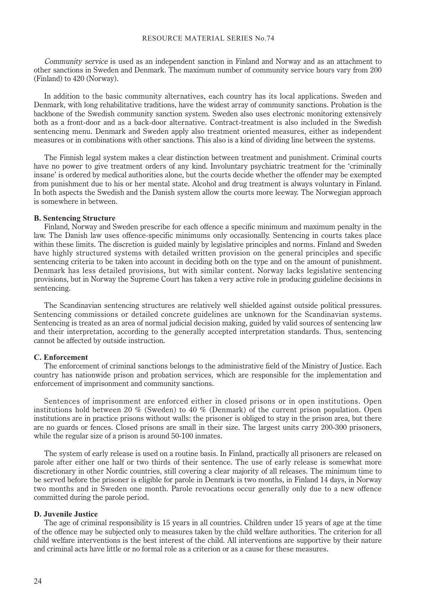Community service is used as an independent sanction in Finland and Norway and as an attachment to other sanctions in Sweden and Denmark. The maximum number of community service hours vary from 200 (Finland) to 420 (Norway).

In addition to the basic community alternatives, each country has its local applications. Sweden and Denmark, with long rehabilitative traditions, have the widest array of community sanctions. Probation is the backbone of the Swedish community sanction system. Sweden also uses electronic monitoring extensively both as a front-door and as a back-door alternative. Contract-treatment is also included in the Swedish sentencing menu. Denmark and Sweden apply also treatment oriented measures, either as independent measures or in combinations with other sanctions. This also is a kind of dividing line between the systems.

The Finnish legal system makes a clear distinction between treatment and punishment. Criminal courts have no power to give treatment orders of any kind. Involuntary psychiatric treatment for the 'criminally insane' is ordered by medical authorities alone, but the courts decide whether the offender may be exempted from punishment due to his or her mental state. Alcohol and drug treatment is always voluntary in Finland. In both aspects the Swedish and the Danish system allow the courts more leeway. The Norwegian approach is somewhere in between.

#### **B. Sentencing Structure**

Finland, Norway and Sweden prescribe for each offence a specific minimum and maximum penalty in the law. The Danish law uses offence-specific minimums only occasionally. Sentencing in courts takes place within these limits. The discretion is guided mainly by legislative principles and norms. Finland and Sweden have highly structured systems with detailed written provision on the general principles and specific sentencing criteria to be taken into account in deciding both on the type and on the amount of punishment. Denmark has less detailed provisions, but with similar content. Norway lacks legislative sentencing provisions, but in Norway the Supreme Court has taken a very active role in producing guideline decisions in sentencing.

The Scandinavian sentencing structures are relatively well shielded against outside political pressures. Sentencing commissions or detailed concrete guidelines are unknown for the Scandinavian systems. Sentencing is treated as an area of normal judicial decision making, guided by valid sources of sentencing law and their interpretation, according to the generally accepted interpretation standards. Thus, sentencing cannot be affected by outside instruction.

#### **C. Enforcement**

The enforcement of criminal sanctions belongs to the administrative field of the Ministry of Justice. Each country has nationwide prison and probation services, which are responsible for the implementation and enforcement of imprisonment and community sanctions.

Sentences of imprisonment are enforced either in closed prisons or in open institutions. Open institutions hold between 20 % (Sweden) to 40 % (Denmark) of the current prison population. Open institutions are in practice prisons without walls: the prisoner is obliged to stay in the prison area, but there are no guards or fences. Closed prisons are small in their size. The largest units carry 200-300 prisoners, while the regular size of a prison is around 50-100 inmates.

The system of early release is used on a routine basis. In Finland, practically all prisoners are released on parole after either one half or two thirds of their sentence. The use of early release is somewhat more discretionary in other Nordic countries, still covering a clear majority of all releases. The minimum time to be served before the prisoner is eligible for parole in Denmark is two months, in Finland 14 days, in Norway two months and in Sweden one month. Parole revocations occur generally only due to a new offence committed during the parole period.

# **D. Juvenile Justice**

The age of criminal responsibility is 15 years in all countries. Children under 15 years of age at the time of the offence may be subjected only to measures taken by the child welfare authorities. The criterion for all child welfare interventions is the best interest of the child. All interventions are supportive by their nature and criminal acts have little or no formal role as a criterion or as a cause for these measures.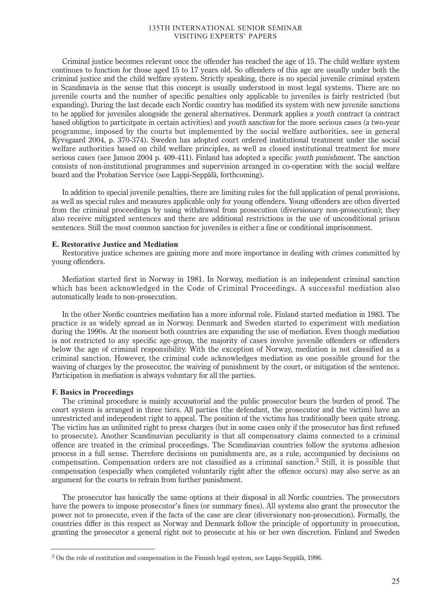Criminal justice becomes relevant once the offender has reached the age of 15. The child welfare system continues to function for those aged 15 to 17 years old. So offenders of this age are usually under both the criminal justice and the child welfare system. Strictly speaking, there is no special juvenile criminal system in Scandinavia in the sense that this concept is usually understood in most legal systems. There are no juvenile courts and the number of specific penalties only applicable to juveniles is fairly restricted (but expanding). During the last decade each Nordic country has modified its system with new juvenile sanctions to be applied for juveniles alongside the general alternatives. Denmark applies a youth contract (a contract based obligtion to particitpate in certain activities) and youth sanction for the more serious cases (a two-year programme, imposed by the courts but implemented by the social welfare authorities, see in general Kyvsgaard 2004, p. 370-374). Sweden has adopted court ordered institutional treatment under the social welfare authorities based on child welfare principles, as well as closed institutional treatment for more serious cases (see Janson 2004 p. 409-411). Finland has adopted a specific *youth punishment*. The sanction consists of non-institutional programmes and supervision arranged in co-operation with the social welfare board and the Probation Service (see Lappi-Seppälä, forthcoming).

In addition to special juvenile penalties, there are limiting rules for the full application of penal provisions, as well as special rules and measures applicable only for young offenders. Young offenders are often diverted from the criminal proceedings by using withdrawal from prosecution (diversionary non-prosecution); they also receive mitigated sentences and there are additional restrictions in the use of unconditional prison sentences. Still the most common sanction for juveniles is either a fine or conditional imprisonment.

#### **E. Restorative Justice and Mediation**

Restorative justice schemes are gaining more and more importance in dealing with crimes committed by young offenders.

Mediation started first in Norway in 1981. In Norway, mediation is an independent criminal sanction which has been acknowledged in the Code of Criminal Proceedings. A successful mediation also automatically leads to non-prosecution.

In the other Nordic countries mediation has a more informal role. Finland started mediation in 1983. The practice is as widely spread as in Norway. Denmark and Sweden started to experiment with mediation during the 1990s. At the moment both countries are expanding the use of mediation. Even though mediation is not restricted to any specific age-group, the majority of cases involve juvenile offenders or offenders below the age of criminal responsibility. With the exception of Norway, mediation is not classified as a criminal sanction. However, the criminal code acknowledges mediation as one possible ground for the waiving of charges by the prosecutor, the waiving of punishment by the court, or mitigation of the sentence. Participation in mediation is always voluntary for all the parties.

#### **F. Basics in Proceedings**

The criminal procedure is mainly accusatorial and the public prosecutor bears the burden of proof. The court system is arranged in three tiers. All parties (the defendant, the prosecutor and the victim) have an unrestricted and independent right to appeal. The position of the victims has traditionally been quite strong. The victim has an unlimited right to press charges (but in some cases only if the prosecutor has first refused to prosecute). Another Scandinavian peculiarity is that all compensatory claims connected to a criminal offence are treated in the criminal proceedings. The Scandinavian countries follow the systems adhesion process in a full sense. Therefore decisions on punishments are, as a rule, accompanied by decisions on compensation. Compensation orders are not classified as a criminal sanction.<sup>3</sup> Still, it is possible that compensation (especially when completed voluntarily right after the offence occurs) may also serve as an argument for the courts to refrain from further punishment.

The prosecutor has basically the same options at their disposal in all Nordic countries. The prosecutors have the powers to impose prosecutor's fines (or summary fines). All systems also grant the prosecutor the power not to prosecute, even if the facts of the case are clear (diversionary non-prosecution). Formally, the countries differ in this respect as Norway and Denmark follow the principle of opportunity in prosecution, granting the prosecutor a general right not to prosecute at his or her own discretion. Finland and Sweden

<sup>3</sup> On the role of restitution and compensation in the Finnish legal system, see Lappi-Seppälä, 1996.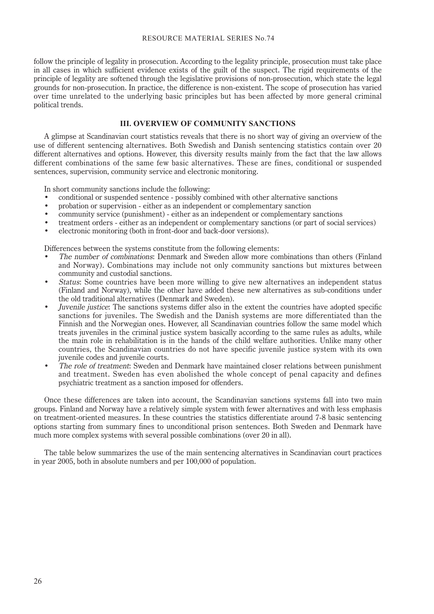follow the principle of legality in prosecution. According to the legality principle, prosecution must take place in all cases in which sufficient evidence exists of the guilt of the suspect. The rigid requirements of the principle of legality are softened through the legislative provisions of non-prosecution, which state the legal grounds for non-prosecution. In practice, the difference is non-existent. The scope of prosecution has varied over time unrelated to the underlying basic principles but has been affected by more general criminal political trends.

# **III. OVERVIEW OF COMMUNITY SANCTIONS**

A glimpse at Scandinavian court statistics reveals that there is no short way of giving an overview of the use of different sentencing alternatives. Both Swedish and Danish sentencing statistics contain over 20 different alternatives and options. However, this diversity results mainly from the fact that the law allows different combinations of the same few basic alternatives. These are fines, conditional or suspended sentences, supervision, community service and electronic monitoring.

In short community sanctions include the following:

- conditional or suspended sentence possibly combined with other alternative sanctions
- probation or supervision either as an independent or complementary sanction
- community service (punishment) either as an independent or complementary sanctions
- treatment orders either as an independent or complementary sanctions (or part of social services)
- electronic monitoring (both in front-door and back-door versions).

Differences between the systems constitute from the following elements:

- The number of combinations: Denmark and Sweden allow more combinations than others (Finland and Norway). Combinations may include not only community sanctions but mixtures between community and custodial sanctions.
- Status: Some countries have been more willing to give new alternatives an independent status (Finland and Norway), while the other have added these new alternatives as sub-conditions under the old traditional alternatives (Denmark and Sweden).
- Juvenile justice: The sanctions systems differ also in the extent the countries have adopted specific sanctions for juveniles. The Swedish and the Danish systems are more differentiated than the Finnish and the Norwegian ones. However, all Scandinavian countries follow the same model which treats juveniles in the criminal justice system basically according to the same rules as adults, while the main role in rehabilitation is in the hands of the child welfare authorities. Unlike many other countries, the Scandinavian countries do not have specific juvenile justice system with its own juvenile codes and juvenile courts.
- The role of treatment: Sweden and Denmark have maintained closer relations between punishment and treatment. Sweden has even abolished the whole concept of penal capacity and defines psychiatric treatment as a sanction imposed for offenders.

Once these differences are taken into account, the Scandinavian sanctions systems fall into two main groups. Finland and Norway have a relatively simple system with fewer alternatives and with less emphasis on treatment-oriented measures. In these countries the statistics differentiate around 7-8 basic sentencing options starting from summary fines to unconditional prison sentences. Both Sweden and Denmark have much more complex systems with several possible combinations (over 20 in all).

The table below summarizes the use of the main sentencing alternatives in Scandinavian court practices in year 2005, both in absolute numbers and per 100,000 of population.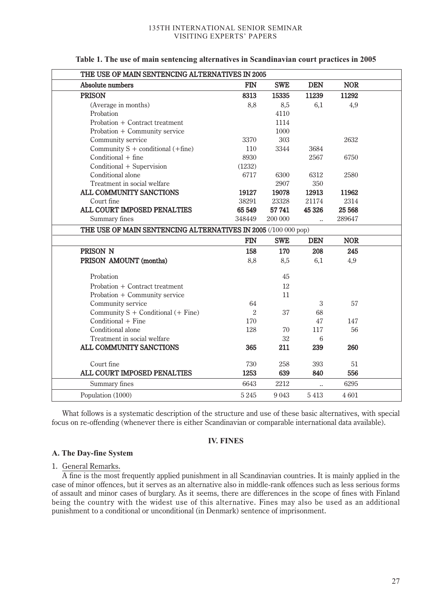| THE USE OF MAIN SENTENCING ALTERNATIVES IN 2005                |              |             |                      |            |  |
|----------------------------------------------------------------|--------------|-------------|----------------------|------------|--|
| Absolute numbers                                               | <b>FIN</b>   | <b>SWE</b>  | <b>DEN</b>           | <b>NOR</b> |  |
| <b>PRISON</b>                                                  | 8313         | 15335       | 11239                | 11292      |  |
| (Average in months)                                            | 8,8          | 8,5         | 6,1                  | 4,9        |  |
| Probation                                                      |              | 4110        |                      |            |  |
| Probation + Contract treatment                                 |              | 1114        |                      |            |  |
| Probation + Community service                                  |              | 1000        |                      |            |  |
| Community service                                              | 3370         | 303         |                      | 2632       |  |
| Community $S$ + conditional (+fine)                            | 110          | 3344        | 3684                 |            |  |
| Conditional + fine                                             | 8930         |             | 2567                 | 6750       |  |
| Conditional + Supervision                                      | (1232)       |             |                      |            |  |
| Conditional alone                                              | 6717         | 6300        | 6312                 | 2580       |  |
| Treatment in social welfare                                    |              | 2907        | 350                  |            |  |
| ALL COMMUNITY SANCTIONS                                        | 19127        | 19078       | 12913                | 11962      |  |
| Court fine                                                     | 38291        | 23328       | 21174                | 2314       |  |
| ALL COURT IMPOSED PENALTIES                                    | 65 549       | 57 741      | 45 326               | 25 5 68    |  |
| Summary fines                                                  | 348449       | 200 000     | $\ddotsc$            | 289647     |  |
| THE USE OF MAIN SENTENCING ALTERNATIVES IN 2005 (/100 000 pop) |              |             |                      |            |  |
|                                                                | <b>FIN</b>   | <b>SWE</b>  | <b>DEN</b>           | <b>NOR</b> |  |
| PRISON N                                                       | 158          | 170         | 208                  | 245        |  |
| PRISON AMOUNT (months)                                         | 8,8          | 8,5         | 6,1                  | 4,9        |  |
|                                                                |              |             |                      |            |  |
| Probation                                                      |              | 45          |                      |            |  |
| Probation + Contract treatment                                 |              | 12          |                      |            |  |
| Probation + Community service                                  |              | 11          |                      |            |  |
| Community service                                              | 64           |             | 3                    | 57         |  |
| Community S + Conditional (+ Fine)                             | $\sqrt{2}$   |             |                      |            |  |
|                                                                |              | 37          | 68                   |            |  |
| Conditional + Fine                                             | 170          |             | 47                   | 147        |  |
| Conditional alone                                              | 128          | 70          | 117                  | 56         |  |
| Treatment in social welfare                                    |              | 32          | $6\phantom{.}6$      |            |  |
| ALL COMMUNITY SANCTIONS                                        | 365          | 211         | 239                  | 260        |  |
|                                                                |              |             |                      |            |  |
| Court fine<br>ALL COURT IMPOSED PENALTIES                      | 730          | 258         | 393<br>840           | 51<br>556  |  |
| Summary fines                                                  | 1253<br>6643 | 639<br>2212 | $\ddot{\phantom{a}}$ | 6295       |  |

**Table 1. The use of main sentencing alternatives in Scandinavian court practices in 2005**

What follows is a systematic description of the structure and use of these basic alternatives, with special focus on re-offending (whenever there is either Scandinavian or comparable international data available).

# **IV. FINES**

# **A. The Day-fine System**

# 1. General Remarks.

A fine is the most frequently applied punishment in all Scandinavian countries. It is mainly applied in the case of minor offences, but it serves as an alternative also in middle-rank offences such as less serious forms of assault and minor cases of burglary. As it seems, there are differences in the scope of fines with Finland being the country with the widest use of this alternative. Fines may also be used as an additional punishment to a conditional or unconditional (in Denmark) sentence of imprisonment.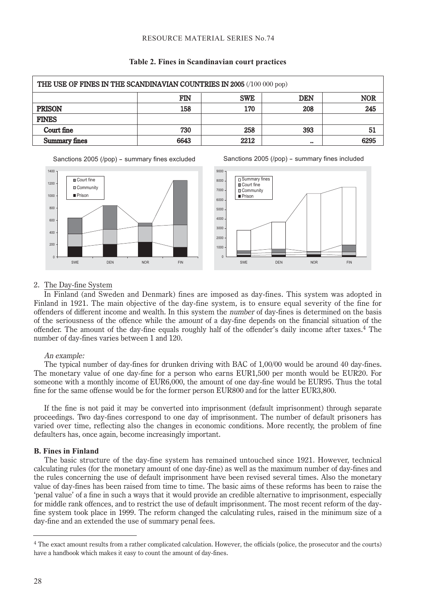| THE USE OF FINES IN THE SCANDINAVIAN COUNTRIES IN 2005 (/100 000 pop) |      |            |                  |            |
|-----------------------------------------------------------------------|------|------------|------------------|------------|
|                                                                       | FIN  | <b>SWE</b> | <b>DEN</b>       | <b>NOR</b> |
| <b>PRISON</b>                                                         | 158  | 170        | 208              | 245        |
| <b>FINES</b>                                                          |      |            |                  |            |
| Court fine                                                            | 730  | 258        | 393              | 51         |
| <b>Summary fines</b>                                                  | 6643 | 2212       | $\bullet\bullet$ | 6295       |

# **Table 2. Fines in Scandinavian court practices**

Sanctions 2005 (/pop) - summary fines excluded





Sanctions 2005 (/pop) - summary fines included

# 2. The Day-fine System

In Finland (and Sweden and Denmark) fines are imposed as day-fines. This system was adopted in Finland in 1921. The main objective of the day-fine system, is to ensure equal severity of the fine for offenders of different income and wealth. In this system the number of day-fines is determined on the basis of the seriousness of the offence while the amount of a day-fine depends on the financial situation of the offender. The amount of the day-fine equals roughly half of the offender's daily income after taxes.<sup>4</sup> The number of day-fines varies between 1 and 120.

# An example:

The typical number of day-fines for drunken driving with BAC of 1,00/00 would be around 40 day-fines. The monetary value of one day-fine for a person who earns EUR1,500 per month would be EUR20. For someone with a monthly income of EUR6,000, the amount of one day-fine would be EUR95. Thus the total fine for the same offense would be for the former person EUR800 and for the latter EUR3,800.

If the fine is not paid it may be converted into imprisonment (default imprisonment) through separate proceedings. Two day-fines correspond to one day of imprisonment. The number of default prisoners has varied over time, reflecting also the changes in economic conditions. More recently, the problem of fine defaulters has, once again, become increasingly important.

# **B. Fines in Finland**

The basic structure of the day-fine system has remained untouched since 1921. However, technical calculating rules (for the monetary amount of one day-fine) as well as the maximum number of day-fines and the rules concerning the use of default imprisonment have been revised several times. Also the monetary value of day-fines has been raised from time to time. The basic aims of these reforms has been to raise the 'penal value' of a fine in such a ways that it would provide an credible alternative to imprisonment, especially for middle rank offences, and to restrict the use of default imprisonment. The most recent reform of the dayfine system took place in 1999. The reform changed the calculating rules, raised in the minimum size of a day-fine and an extended the use of summary penal fees.

<sup>4</sup> The exact amount results from a rather complicated calculation. However, the officials (police, the prosecutor and the courts) have a handbook which makes it easy to count the amount of day-fines.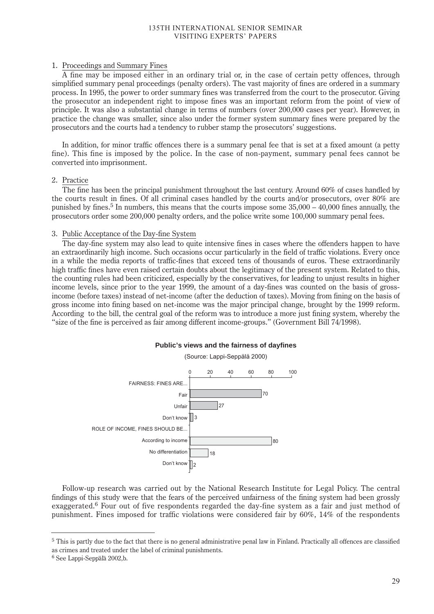# 1. Proceedings and Summary Fines

A fine may be imposed either in an ordinary trial or, in the case of certain petty offences, through simplified summary penal proceedings (penalty orders). The vast majority of fines are ordered in a summary process. In 1995, the power to order summary fines was transferred from the court to the prosecutor. Giving the prosecutor an independent right to impose fines was an important reform from the point of view of principle. It was also a substantial change in terms of numbers (over 200,000 cases per year). However, in practice the change was smaller, since also under the former system summary fines were prepared by the prosecutors and the courts had a tendency to rubber stamp the prosecutors' suggestions.

In addition, for minor traffic offences there is a summary penal fee that is set at a fixed amount (a petty fine). This fine is imposed by the police. In the case of non-payment, summary penal fees cannot be converted into imprisonment.

# 2. Practice

The fine has been the principal punishment throughout the last century. Around 60% of cases handled by the courts result in fines. Of all criminal cases handled by the courts and/or prosecutors, over 80% are punished by fines.<sup>5</sup> In numbers, this means that the courts impose some  $35,000 - 40,000$  fines annually, the prosecutors order some 200,000 penalty orders, and the police write some 100,000 summary penal fees.

# 3. Public Acceptance of the Day-fine System

The day-fine system may also lead to quite intensive fines in cases where the offenders happen to have an extraordinarily high income. Such occasions occur particularly in the field of traffic violations. Every once in a while the media reports of traffic-fines that exceed tens of thousands of euros. These extraordinarily high traffic fines have even raised certain doubts about the legitimacy of the present system. Related to this, the counting rules had been criticized, especially by the conservatives, for leading to unjust results in higher income levels, since prior to the year 1999, the amount of a day-fines was counted on the basis of grossincome (before taxes) instead of net-income (after the deduction of taxes). Moving from fining on the basis of gross income into fining based on net-income was the major principal change, brought by the 1999 reform. According to the bill, the central goal of the reform was to introduce a more just fining system, whereby the "size of the fine is perceived as fair among different income-groups." (Government Bill 74/1998).

# **Public's views and the fairness of dayfines**



Follow-up research was carried out by the National Research Institute for Legal Policy. The central findings of this study were that the fears of the perceived unfairness of the fining system had been grossly exaggerated.<sup>6</sup> Four out of five respondents regarded the day-fine system as a fair and just method of punishment. Fines imposed for traffic violations were considered fair by 60%, 14% of the respondents

<sup>5</sup> This is partly due to the fact that there is no general administrative penal law in Finland. Practically all offences are classified as crimes and treated under the label of criminal punishments.

<sup>6</sup> See Lappi-Seppälä 2002,b.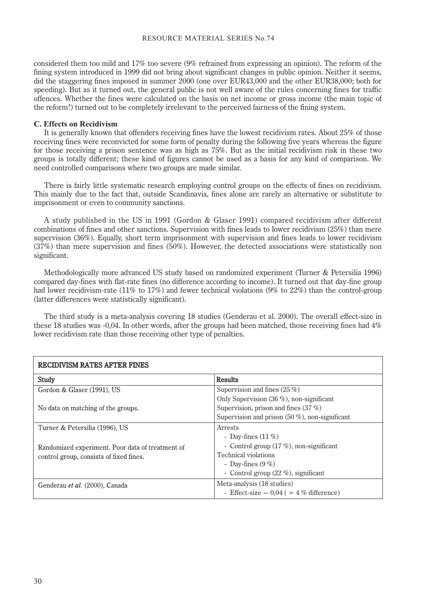considered them too mild and 17% too severe (9% refrained from expressing an opinion). The reform of the fining system introduced in 1999 did not bring about significant changes in public opinion. Neither it seems, did the staggering fines imposed in summer 2000 (one over EUR43,000 and the other EUR38,000; both for speeding). But as it turned out, the general public is not well aware of the rules concerning fines for traffic offences. Whether the fines were calculated on the basis on net income or gross income (the main topic of the reform!) turned out to be completely irrelevant to the perceived fairness of the fining system.

## **C. Effects on Recidivism**

It is generally known that offenders receiving fines have the lowest recidivism rates. About 25% of those receiving fines were reconvicted for some form of penalty during the following five years whereas the figure for those receiving a prison sentence was as high as 75%. But as the initial recidivism risk in these two groups is totally different; these kind of figures cannot be used as a basis for any kind of comparison. We need controlled comparisons where two groups are made similar.

There is fairly little systematic research employing control groups on the effects of fines on recidivism. This mainly due to the fact that, outside Scandinavia, fines alone are rarely an alternative or substitute to imprisonment or even to community sanctions.

A study published in the US in 1991 (Gordon & Glaser 1991) compared recidivism after different combinations of fines and other sanctions. Supervision with fines leads to lower recidivism (25%) than mere supervision (36%). Equally, short term imprisonment with supervision and fines leads to lower recidivism (37%) than mere supervision and fines (50%). However, the detected associations were statistically non significant.

Methodologically more advanced US study based on randomized experiment (Turner & Petersilia 1996) compared day-fines with flat-rate fines (no difference according to income). It turned out that day-fine group had lower recidivism-rate (11% to 17%) and fewer technical violations (9% to 22%) than the control-group (latter differences were statistically significant).

The third study is a meta-analysis covering 18 studies (Genderau et al. 2000). The overall effect-size in these 18 studies was -0,04. In other words, after the groups had been matched, those receiving fines had 4% lower recidivism rate than those receiving other type of penalties.

| RECIDIVISM RATES AFTER FINES                     |                                                    |  |  |
|--------------------------------------------------|----------------------------------------------------|--|--|
| Study                                            | <b>Results</b>                                     |  |  |
| Gordon & Glaser (1991), US                       | Supervision and fines (25 %)                       |  |  |
|                                                  | Only Supervision $(36 \%)$ , non-significant       |  |  |
| No data on matching of the groups.               | Supervision, prison and fines $(37\%)$             |  |  |
|                                                  | Supervision and prison $(50 \%)$ , non-significant |  |  |
| Turner & Petersilia (1996), US                   | Arrests                                            |  |  |
|                                                  | - Day-fines $(11\%)$                               |  |  |
| Randomized experiment. Poor data of treatment of | - Control group $(17 \%)$ , non-significant        |  |  |
| control group, consists of fixed fines.          | Technical violations                               |  |  |
|                                                  | - Day-fines $(9\%)$                                |  |  |
|                                                  | - Control group $(22 \%)$ , significant            |  |  |
| Genderau et al. (2000), Canada                   | Meta-analysis (18 studies)                         |  |  |
|                                                  | - Effect-size $-0.04$ ( = 4 % difference)          |  |  |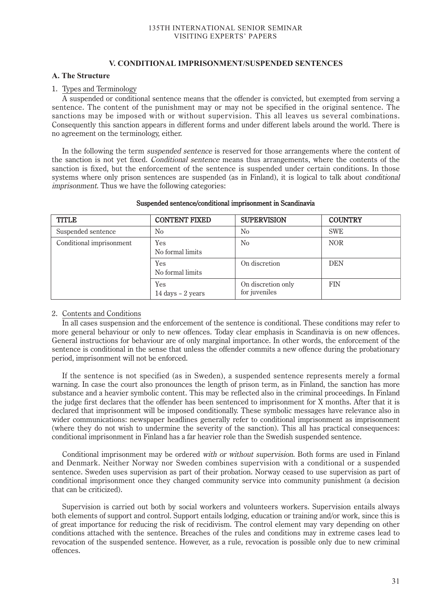# **V. CONDITIONAL IMPRISONMENT/SUSPENDED SENTENCES**

# **A. The Structure**

# 1. Types and Terminology

A suspended or conditional sentence means that the offender is convicted, but exempted from serving a sentence. The content of the punishment may or may not be specified in the original sentence. The sanctions may be imposed with or without supervision. This all leaves us several combinations. Consequently this sanction appears in different forms and under different labels around the world. There is no agreement on the terminology, either.

In the following the term *suspended sentence* is reserved for those arrangements where the content of the sanction is not yet fixed. Conditional sentence means thus arrangements, where the contents of the sanction is fixed, but the enforcement of the sentence is suspended under certain conditions. In those systems where only prison sentences are suspended (as in Finland), it is logical to talk about *conditional* imprisonment. Thus we have the following categories:

| <b>TITLE</b>             | <b>CONTENT FIXED</b>     | <b>SUPERVISION</b>                  | <b>COUNTRY</b> |
|--------------------------|--------------------------|-------------------------------------|----------------|
| Suspended sentence       | No                       | N <sub>0</sub>                      | <b>SWE</b>     |
| Conditional imprisonment | Yes<br>No formal limits  | N <sub>0</sub>                      | <b>NOR</b>     |
|                          | Yes<br>No formal limits  | On discretion                       | <b>DEN</b>     |
|                          | Yes<br>14 days - 2 years | On discretion only<br>for juveniles | <b>FIN</b>     |

# Suspended sentence/conditional imprisonment in Scandinavia

# 2. Contents and Conditions

In all cases suspension and the enforcement of the sentence is conditional. These conditions may refer to more general behaviour or only to new offences. Today clear emphasis in Scandinavia is on new offences. General instructions for behaviour are of only marginal importance. In other words, the enforcement of the sentence is conditional in the sense that unless the offender commits a new offence during the probationary period, imprisonment will not be enforced.

If the sentence is not specified (as in Sweden), a suspended sentence represents merely a formal warning. In case the court also pronounces the length of prison term, as in Finland, the sanction has more substance and a heavier symbolic content. This may be reflected also in the criminal proceedings. In Finland the judge first declares that the offender has been sentenced to imprisonment for X months. After that it is declared that imprisonment will be imposed conditionally. These symbolic messages have relevance also in wider communications: newspaper headlines generally refer to conditional imprisonment as imprisonment (where they do not wish to undermine the severity of the sanction). This all has practical consequences: conditional imprisonment in Finland has a far heavier role than the Swedish suspended sentence.

Conditional imprisonment may be ordered with or without supervision. Both forms are used in Finland and Denmark. Neither Norway nor Sweden combines supervision with a conditional or a suspended sentence. Sweden uses supervision as part of their probation. Norway ceased to use supervision as part of conditional imprisonment once they changed community service into community punishment (a decision that can be criticized).

Supervision is carried out both by social workers and volunteers workers. Supervision entails always both elements of support and control. Support entails lodging, education or training and/or work, since this is of great importance for reducing the risk of recidivism. The control element may vary depending on other conditions attached with the sentence. Breaches of the rules and conditions may in extreme cases lead to revocation of the suspended sentence. However, as a rule, revocation is possible only due to new criminal offences.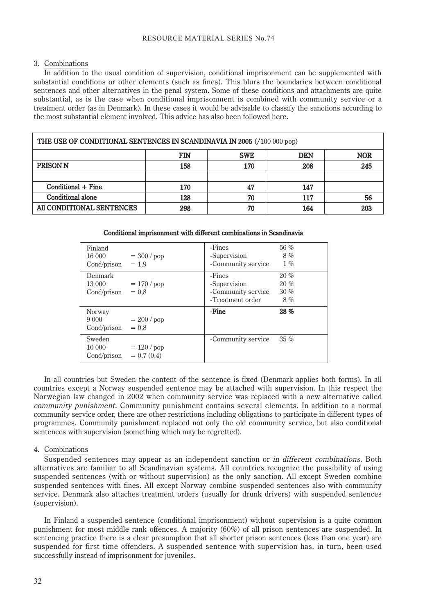# 3. Combinations

In addition to the usual condition of supervision, conditional imprisonment can be supplemented with substantial conditions or other elements (such as fines). This blurs the boundaries between conditional sentences and other alternatives in the penal system. Some of these conditions and attachments are quite substantial, as is the case when conditional imprisonment is combined with community service or a treatment order (as in Denmark). In these cases it would be advisable to classify the sanctions according to the most substantial element involved. This advice has also been followed here.

| THE USE OF CONDITIONAL SENTENCES IN SCANDINAVIA IN 2005 (/100 000 pop) |                |            |            |            |
|------------------------------------------------------------------------|----------------|------------|------------|------------|
|                                                                        | $\mathbf{FIN}$ | <b>SWE</b> | <b>DEN</b> | <b>NOR</b> |
| <b>PRISON N</b>                                                        | 158            | 170        | 208        | 245        |
|                                                                        |                |            |            |            |
| Conditional + Fine                                                     | 170            | 47         | 147        |            |
| Conditional alone                                                      | 128            | 70         | 117        | 56         |
| All CONDITIONAL SENTENCES                                              | 298            | 70         | 164        | 203        |

# Conditional imprisonment with different combinations in Scandinavia

| Finland<br>16 000<br>Cond/prison $= 1.9$ | $= 300 / pop$                 | -Fines<br>-Supervision<br>-Community service                     | 56 $%$<br>8%<br>$1\%$   |
|------------------------------------------|-------------------------------|------------------------------------------------------------------|-------------------------|
| Denmark<br>13 000<br>Cond/prison         | $= 170 / pop$<br>$= 0.8$      | -Fines<br>-Supervision<br>-Community service<br>-Treatment order | 20%<br>20%<br>30%<br>8% |
| Norway<br>Cond/prison                    | $= 200 / pop$<br>$= 0.8$      | -Fine                                                            | 28%                     |
| Sweden<br>10 000<br>Cond/prison          | $= 120$ / pop<br>$= 0.7(0.4)$ | -Community service                                               | $35\%$                  |

In all countries but Sweden the content of the sentence is fixed (Denmark applies both forms). In all countries except a Norway suspended sentence may be attached with supervision. In this respect the Norwegian law changed in 2002 when community service was replaced with a new alternative called community punishment. Community punishment contains several elements. In addition to a normal community service order, there are other restrictions including obligations to participate in different types of programmes. Community punishment replaced not only the old community service, but also conditional sentences with supervision (something which may be regretted).

# 4. Combinations

Suspended sentences may appear as an independent sanction or in different combinations. Both alternatives are familiar to all Scandinavian systems. All countries recognize the possibility of using suspended sentences (with or without supervision) as the only sanction. All except Sweden combine suspended sentences with fines. All except Norway combine suspended sentences also with community service. Denmark also attaches treatment orders (usually for drunk drivers) with suspended sentences (supervision).

In Finland a suspended sentence (conditional imprisonment) without supervision is a quite common punishment for most middle rank offences. A majority (60%) of all prison sentences are suspended. In sentencing practice there is a clear presumption that all shorter prison sentences (less than one year) are suspended for first time offenders. A suspended sentence with supervision has, in turn, been used successfully instead of imprisonment for juveniles.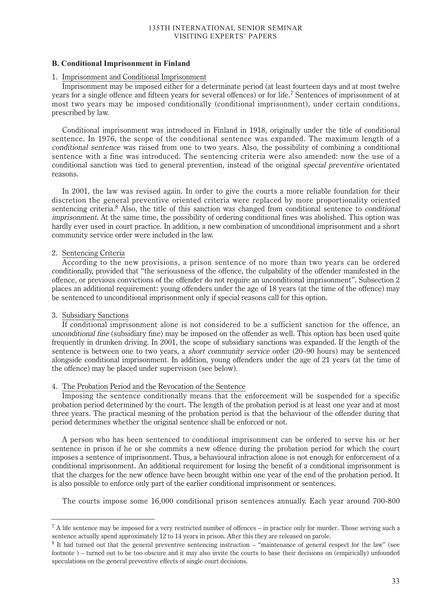# **B. Conditional Imprisonment in Finland**

# 1. Imprisonment and Conditional Imprisonment

Imprisonment may be imposed either for a determinate period (at least fourteen days and at most twelve years for a single offence and fifteen years for several offences) or for life.<sup>7</sup> Sentences of imprisonment of at most two years may be imposed conditionally (conditional imprisonment), under certain conditions, prescribed by law.

Conditional imprisonment was introduced in Finland in 1918, originally under the title of conditional sentence. In 1976, the scope of the conditional sentence was expanded. The maximum length of a conditional sentence was raised from one to two years. Also, the possibility of combining a conditional sentence with a fine was introduced. The sentencing criteria were also amended: now the use of a conditional sanction was tied to general prevention, instead of the original special preventive orientated reasons.

In 2001, the law was revised again. In order to give the courts a more reliable foundation for their discretion the general preventive oriented criteria were replaced by more proportionality oriented sentencing criteria.<sup>8</sup> Also, the title of this sanction was changed from conditional sentence to *conditional* imprisonment. At the same time, the possibility of ordering conditional fines was abolished. This option was hardly ever used in court practice. In addition, a new combination of unconditional imprisonment and a short community service order were included in the law.

# 2. Sentencing Criteria

According to the new provisions, a prison sentence of no more than two years can be ordered conditionally, provided that "the seriousness of the offence, the culpability of the offender manifested in the offence, or previous convictions of the offender do not require an unconditional imprisonment". Subsection 2 places an additional requirement: young offenders under the age of 18 years (at the time of the offence) may be sentenced to unconditional imprisonment only if special reasons call for this option.

# 3. Subsidiary Sanctions

If conditional imprisonment alone is not considered to be a sufficient sanction for the offence, an unconditional fine (subsidiary fine) may be imposed on the offender as well. This option has been used quite frequently in drunken driving. In 2001, the scope of subsidiary sanctions was expanded. If the length of the sentence is between one to two years, a short community service order (20–90 hours) may be sentenced alongside conditional imprisonment. In addition, young offenders under the age of 21 years (at the time of the offence) may be placed under supervision (see below).

# 4. The Probation Period and the Revocation of the Sentence

Imposing the sentence conditionally means that the enforcement will be suspended for a specific probation period determined by the court. The length of the probation period is at least one year and at most three years. The practical meaning of the probation period is that the behaviour of the offender during that period determines whether the original sentence shall be enforced or not.

A person who has been sentenced to conditional imprisonment can be ordered to serve his or her sentence in prison if he or she commits a new offence during the probation period for which the court imposes a sentence of imprisonment. Thus, a behavioural infraction alone is not enough for enforcement of a conditional imprisonment. An additional requirement for losing the benefit of a conditional imprisonment is that the charges for the new offence have been brought within one year of the end of the probation period. It is also possible to enforce only part of the earlier conditional imprisonment or sentences.

The courts impose some 16,000 conditional prison sentences annually. Each year around 700-800

<sup>7</sup> A life sentence may be imposed for a very restricted number of offences – in practice only for murder. Those serving such a sentence actually spend approximately 12 to 14 years in prison. After this they are released on parole.

<sup>8</sup> It had turned out that the general preventive sentencing instruction – "maintenance of general respect for the law" (see footnote ) – turned out to be too obscure and it may also invite the courts to base their decisions on (empirically) unfounded speculations on the general preventive effects of single court decisions.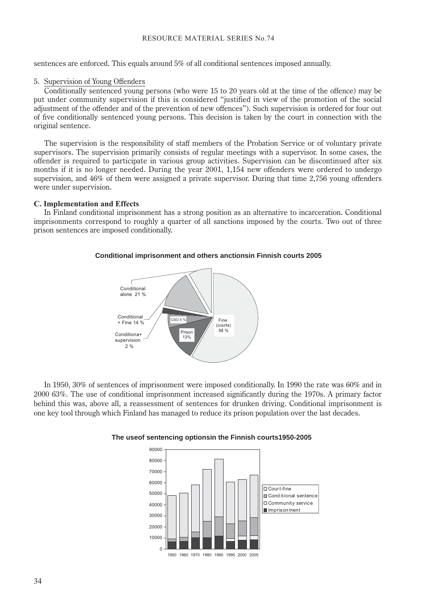sentences are enforced. This equals around 5% of all conditional sentences imposed annually.

# 5. Supervision of Young Offenders

Conditionally sentenced young persons (who were 15 to 20 years old at the time of the offence) may be put under community supervision if this is considered "justified in view of the promotion of the social adjustment of the offender and of the prevention of new offences"). Such supervision is ordered for four out of five conditionally sentenced young persons. This decision is taken by the court in connection with the original sentence.

The supervision is the responsibility of staff members of the Probation Service or of voluntary private supervisors. The supervision primarily consists of regular meetings with a supervisor. In some cases, the offender is required to participate in various group activities. Supervision can be discontinued after six months if it is no longer needed. During the year 2001, 1,154 new offenders were ordered to undergo supervision, and 46% of them were assigned a private supervisor. During that time 2,756 young offenders were under supervision.

# **C. Implementation and Effects**

In Finland conditional imprisonment has a strong position as an alternative to incarceration. Conditional imprisonments correspond to roughly a quarter of all sanctions imposed by the courts. Two out of three prison sentences are imposed conditionally.

# **Conditional imprisonment and others anctionsin Finnish courts 2005**



In 1950, 30% of sentences of imprisonment were imposed conditionally. In 1990 the rate was 60% and in 2000 63%. The use of conditional imprisonment increased significantly during the 1970s. A primary factor behind this was, above all, a reassessment of sentences for drunken driving. Conditional imprisonment is one key tool through which Finland has managed to reduce its prison population over the last decades.



# **The useof sentencing optionsin the Finnish courts1950-2005**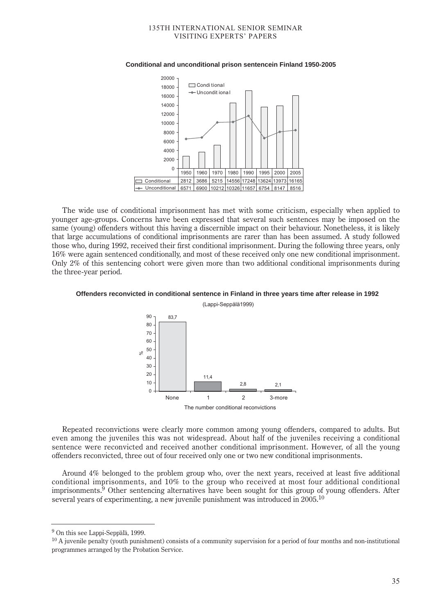

#### **Conditional and unconditional prison sentencein Finland 1950-2005**

The wide use of conditional imprisonment has met with some criticism, especially when applied to younger age-groups. Concerns have been expressed that several such sentences may be imposed on the same (young) offenders without this having a discernible impact on their behaviour. Nonetheless, it is likely that large accumulations of conditional imprisonments are rarer than has been assumed. A study followed those who, during 1992, received their first conditional imprisonment. During the following three years, only 16% were again sentenced conditionally, and most of these received only one new conditional imprisonment. Only 2% of this sentencing cohort were given more than two additional conditional imprisonments during the three-year period.



# **Offenders reconvicted in conditional sentence in Finland in three years time after release in 1992**

(Lappi-Seppälä1999)

Repeated reconvictions were clearly more common among young offenders, compared to adults. But even among the juveniles this was not widespread. About half of the juveniles receiving a conditional sentence were reconvicted and received another conditional imprisonment. However, of all the young offenders reconvicted, three out of four received only one or two new conditional imprisonments.

Around 4% belonged to the problem group who, over the next years, received at least five additional conditional imprisonments, and 10% to the group who received at most four additional conditional imprisonments.<sup>9</sup> Other sentencing alternatives have been sought for this group of young offenders. After several years of experimenting, a new juvenile punishment was introduced in  $2005^{10}$ 

<sup>9</sup> On this see Lappi-Seppälä, 1999.

 $10$  A juvenile penalty (youth punishment) consists of a community supervision for a period of four months and non-institutional programmes arranged by the Probation Service.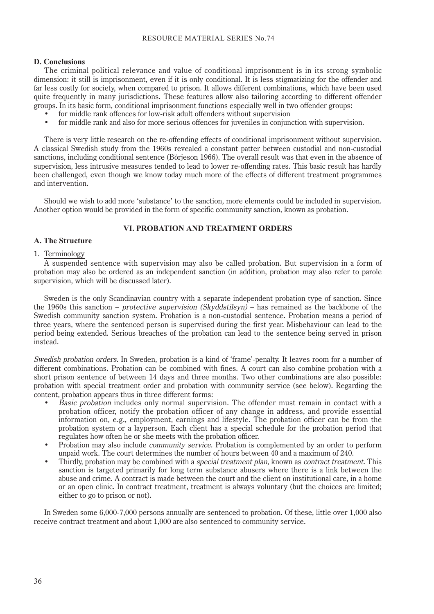# **D. Conclusions**

The criminal political relevance and value of conditional imprisonment is in its strong symbolic dimension: it still is imprisonment, even if it is only conditional. It is less stigmatizing for the offender and far less costly for society, when compared to prison. It allows different combinations, which have been used quite frequently in many jurisdictions. These features allow also tailoring according to different offender groups. In its basic form, conditional imprisonment functions especially well in two offender groups:

- for middle rank offences for low-risk adult offenders without supervision
- for middle rank and also for more serious offences for juveniles in conjunction with supervision.

There is very little research on the re-offending effects of conditional imprisonment without supervision. A classical Swedish study from the 1960s revealed a constant patter between custodial and non-custodial sanctions, including conditional sentence (Börjeson 1966). The overall result was that even in the absence of supervision, less intrusive measures tended to lead to lower re-offending rates. This basic result has hardly been challenged, even though we know today much more of the effects of different treatment programmes and intervention.

Should we wish to add more 'substance' to the sanction, more elements could be included in supervision. Another option would be provided in the form of specific community sanction, known as probation.

# **VI. PROBATION AND TREATMENT ORDERS**

# **A. The Structure**

# 1. Terminology

A suspended sentence with supervision may also be called probation. But supervision in a form of probation may also be ordered as an independent sanction (in addition, probation may also refer to parole supervision, which will be discussed later).

Sweden is the only Scandinavian country with a separate independent probation type of sanction. Since the 1960s this sanction – protective supervision (Skyddstilsyn) – has remained as the backbone of the Swedish community sanction system. Probation is a non-custodial sentence. Probation means a period of three years, where the sentenced person is supervised during the first year. Misbehaviour can lead to the period being extended. Serious breaches of the probation can lead to the sentence being served in prison instead.

Swedish probation orders. In Sweden, probation is a kind of 'frame'-penalty. It leaves room for a number of different combinations. Probation can be combined with fines. A court can also combine probation with a short prison sentence of between 14 days and three months. Two other combinations are also possible: probation with special treatment order and probation with community service (see below). Regarding the content, probation appears thus in three different forms:

- Basic probation includes only normal supervision. The offender must remain in contact with a probation officer, notify the probation officer of any change in address, and provide essential information on, e.g., employment, earnings and lifestyle. The probation officer can be from the probation system or a layperson. Each client has a special schedule for the probation period that regulates how often he or she meets with the probation officer.
- Probation may also include community service. Probation is complemented by an order to perform unpaid work. The court determines the number of hours between 40 and a maximum of 240.
- Thirdly, probation may be combined with a *special treatment plan*, known as *contract treatment*. This sanction is targeted primarily for long term substance abusers where there is a link between the abuse and crime. A contract is made between the court and the client on institutional care, in a home or an open clinic. In contract treatment, treatment is always voluntary (but the choices are limited; either to go to prison or not).

In Sweden some 6,000-7,000 persons annually are sentenced to probation. Of these, little over 1,000 also receive contract treatment and about 1,000 are also sentenced to community service.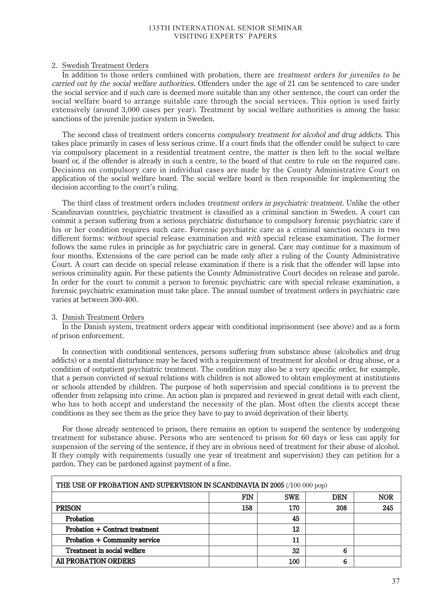# 2. Swedish Treatment Orders

In addition to those orders combined with probation, there are treatment orders for juveniles to be carried out by the social welfare authorities. Offenders under the age of 21 can be sentenced to care under the social service and if such care is deemed more suitable than any other sentence, the court can order the social welfare board to arrange suitable care through the social services. This option is used fairly extensively (around 3,000 cases per year). Treatment by social welfare authorities is among the basic sanctions of the juvenile justice system in Sweden.

The second class of treatment orders concerns *compulsory treatment for alcohol and drug addicts*. This takes place primarily in cases of less serious crime. If a court finds that the offender could be subject to care via compulsory placement in a residential treatment centre, the matter is then left to the social welfare board or, if the offender is already in such a centre, to the board of that centre to rule on the required care. Decisions on compulsory care in individual cases are made by the County Administrative Court on application of the social welfare board. The social welfare board is then responsible for implementing the decision according to the court's ruling.

The third class of treatment orders includes treatment orders in psychiatric treatment. Unlike the other Scandinavian countries, psychiatric treatment is classified as a criminal sanction in Sweden. A court can commit a person suffering from a serious psychiatric disturbance to compulsory forensic psychiatric care if his or her condition requires such care. Forensic psychiatric care as a criminal sanction occurs in two different forms: without special release examination and with special release examination. The former follows the same rules in principle as for psychiatric care in general. Care may continue for a maximum of four months. Extensions of the care period can be made only after a ruling of the County Administrative Court. A court can decide on special release examination if there is a risk that the offender will lapse into serious criminality again. For these patients the County Administrative Court decides on release and parole. In order for the court to commit a person to forensic psychiatric care with special release examination, a forensic psychiatric examination must take place. The annual number of treatment orders in psychiatric care varies at between 300-400.

# 3. Danish Treatment Orders

In the Danish system, treatment orders appear with conditional imprisonment (see above) and as a form of prison enforcement.

In connection with conditional sentences, persons suffering from substance abuse (alcoholics and drug addicts) or a mental disturbance may be faced with a requirement of treatment for alcohol or drug abuse, or a condition of outpatient psychiatric treatment. The condition may also be a very specific order, for example, that a person convicted of sexual relations with children is not allowed to obtain employment at institutions or schools attended by children. The purpose of both supervision and special conditions is to prevent the offender from relapsing into crime. An action plan is prepared and reviewed in great detail with each client, who has to both accept and understand the necessity of the plan. Most often the clients accept these conditions as they see them as the price they have to pay to avoid deprivation of their liberty.

For those already sentenced to prison, there remains an option to suspend the sentence by undergoing treatment for substance abuse. Persons who are sentenced to prison for 60 days or less can apply for suspension of the serving of the sentence, if they are in obvious need of treatment for their abuse of alcohol. If they comply with requirements (usually one year of treatment and supervision) they can petition for a pardon. They can be pardoned against payment of a fine.

| THE USE OF PROBATION AND SUPERVISION IN SCANDINAVIA IN 2005 (/100 000 pop) |     |            |            |            |
|----------------------------------------------------------------------------|-----|------------|------------|------------|
|                                                                            | FIN | <b>SWE</b> | <b>DEN</b> | <b>NOR</b> |
| <b>PRISON</b>                                                              | 158 | 170        | 208        | 245        |
| Probation                                                                  |     | 45         |            |            |
| Probation + Contract treatment                                             |     | 12         |            |            |
| Probation + Community service                                              |     | 11         |            |            |
| Treatment in social welfare                                                |     | 32         | 6          |            |
| <b>All PROBATION ORDERS</b>                                                |     | 100        | 6          |            |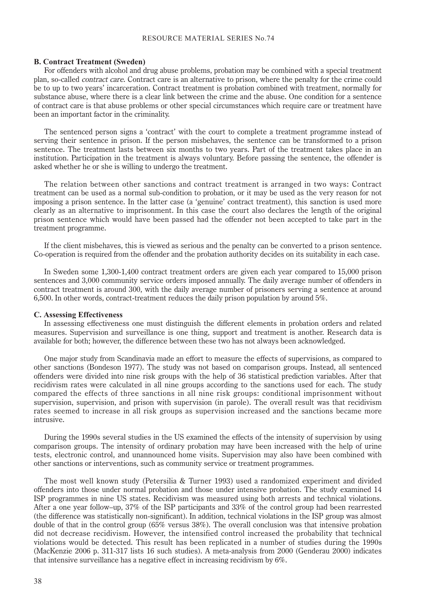#### **B. Contract Treatment (Sweden)**

For offenders with alcohol and drug abuse problems, probation may be combined with a special treatment plan, so-called contract care. Contract care is an alternative to prison, where the penalty for the crime could be to up to two years' incarceration. Contract treatment is probation combined with treatment, normally for substance abuse, where there is a clear link between the crime and the abuse. One condition for a sentence of contract care is that abuse problems or other special circumstances which require care or treatment have been an important factor in the criminality.

The sentenced person signs a 'contract' with the court to complete a treatment programme instead of serving their sentence in prison. If the person misbehaves, the sentence can be transformed to a prison sentence. The treatment lasts between six months to two years. Part of the treatment takes place in an institution. Participation in the treatment is always voluntary. Before passing the sentence, the offender is asked whether he or she is willing to undergo the treatment.

The relation between other sanctions and contract treatment is arranged in two ways: Contract treatment can be used as a normal sub-condition to probation, or it may be used as the very reason for not imposing a prison sentence. In the latter case (a 'genuine' contract treatment), this sanction is used more clearly as an alternative to imprisonment. In this case the court also declares the length of the original prison sentence which would have been passed had the offender not been accepted to take part in the treatment programme.

If the client misbehaves, this is viewed as serious and the penalty can be converted to a prison sentence. Co-operation is required from the offender and the probation authority decides on its suitability in each case.

In Sweden some 1,300-1,400 contract treatment orders are given each year compared to 15,000 prison sentences and 3,000 community service orders imposed annually. The daily average number of offenders in contract treatment is around 300, with the daily average number of prisoners serving a sentence at around 6,500. In other words, contract-treatment reduces the daily prison population by around 5%.

## **C. Assessing Effectiveness**

In assessing effectiveness one must distinguish the different elements in probation orders and related measures. Supervision and surveillance is one thing, support and treatment is another. Research data is available for both; however, the difference between these two has not always been acknowledged.

One major study from Scandinavia made an effort to measure the effects of supervisions, as compared to other sanctions (Bondeson 1977). The study was not based on comparison groups. Instead, all sentenced offenders were divided into nine risk groups with the help of 36 statistical prediction variables. After that recidivism rates were calculated in all nine groups according to the sanctions used for each. The study compared the effects of three sanctions in all nine risk groups: conditional imprisonment without supervision, supervision, and prison with supervision (in parole). The overall result was that recidivism rates seemed to increase in all risk groups as supervision increased and the sanctions became more intrusive.

During the 1990s several studies in the US examined the effects of the intensity of supervision by using comparison groups. The intensity of ordinary probation may have been increased with the help of urine tests, electronic control, and unannounced home visits. Supervision may also have been combined with other sanctions or interventions, such as community service or treatment programmes.

The most well known study (Petersilia & Turner 1993) used a randomized experiment and divided offenders into those under normal probation and those under intensive probation. The study examined 14 ISP programmes in nine US states. Recidivism was measured using both arrests and technical violations. After a one year follow–up, 37% of the ISP participants and 33% of the control group had been rearrested (the difference was statistically non-significant). In addition, technical violations in the ISP group was almost double of that in the control group (65% versus 38%). The overall conclusion was that intensive probation did not decrease recidivism. However, the intensified control increased the probability that technical violations would be detected. This result has been replicated in a number of studies during the 1990s (MacKenzie 2006 p. 311-317 lists 16 such studies). A meta-analysis from 2000 (Genderau 2000) indicates that intensive surveillance has a negative effect in increasing recidivism by 6%.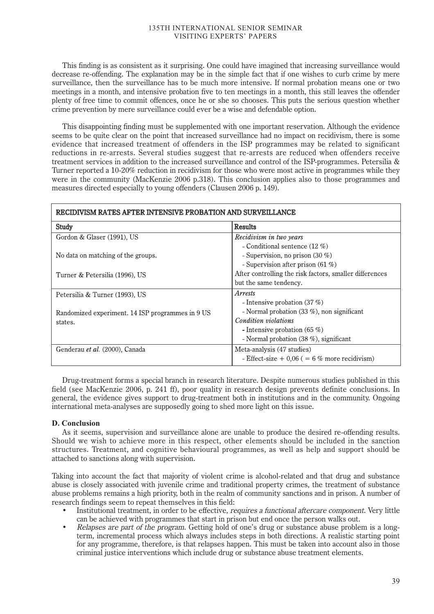This finding is as consistent as it surprising. One could have imagined that increasing surveillance would decrease re-offending. The explanation may be in the simple fact that if one wishes to curb crime by mere surveillance, then the surveillance has to be much more intensive. If normal probation means one or two meetings in a month, and intensive probation five to ten meetings in a month, this still leaves the offender plenty of free time to commit offences, once he or she so chooses. This puts the serious question whether crime prevention by mere surveillance could ever be a wise and defendable option.

This disappointing finding must be supplemented with one important reservation. Although the evidence seems to be quite clear on the point that increased surveillance had no impact on recidivism, there is some evidence that increased treatment of offenders in the ISP programmes may be related to significant reductions in re-arrests. Several studies suggest that re-arrests are reduced when offenders receive treatment services in addition to the increased surveillance and control of the ISP-programmes. Petersilia & Turner reported a 10-20% reduction in recidivism for those who were most active in programmes while they were in the community (MacKenzie 2006 p.318). This conclusion applies also to those programmes and measures directed especially to young offenders (Clausen 2006 p. 149).

# RECIDIVISM RATES AFTER INTENSIVE PROBATION AND SURVEILLANCE

| Study                                            | <b>Results</b>                                          |
|--------------------------------------------------|---------------------------------------------------------|
| Gordon & Glaser (1991), US                       | Recidivism in two years                                 |
|                                                  | - Conditional sentence $(12 \%)$                        |
| No data on matching of the groups.               | - Supervision, no prison $(30\%)$                       |
|                                                  | - Supervision after prison $(61\%)$                     |
| Turner & Petersilia (1996), US                   | After controlling the risk factors, smaller differences |
|                                                  | but the same tendency.                                  |
| Petersilia & Turner (1993), US                   | <i>Arrests</i>                                          |
|                                                  | - Intensive probation $(37%)$                           |
| Randomized experiment. 14 ISP programmes in 9 US | - Normal probation $(33 \%)$ , non significant          |
| states.                                          | Condition violations                                    |
|                                                  | - Intensive probation $(65 \%)$                         |
|                                                  | - Normal probation $(38\%)$ , significant               |
| Genderau et al. (2000), Canada                   | Meta-analysis (47 studies)                              |
|                                                  | - Effect-size $+0.06$ ( = 6 % more recidivism)          |

Drug-treatment forms a special branch in research literature. Despite numerous studies published in this field (see MacKenzie 2006, p. 241 ff), poor quality in research design prevents definite conclusions. In general, the evidence gives support to drug-treatment both in institutions and in the community. Ongoing international meta-analyses are supposedly going to shed more light on this issue.

# **D. Conclusion**

As it seems, supervision and surveillance alone are unable to produce the desired re-offending results. Should we wish to achieve more in this respect, other elements should be included in the sanction structures. Treatment, and cognitive behavioural programmes, as well as help and support should be attached to sanctions along with supervision.

Taking into account the fact that majority of violent crime is alcohol-related and that drug and substance abuse is closely associated with juvenile crime and traditional property crimes, the treatment of substance abuse problems remains a high priority, both in the realm of community sanctions and in prison. A number of research findings seem to repeat themselves in this field:

- Institutional treatment, in order to be effective, *requires a functional aftercare component*. Very little can be achieved with programmes that start in prison but end once the person walks out.
- Relapses are part of the program. Getting hold of one's drug or substance abuse problem is a longterm, incremental process which always includes steps in both directions. A realistic starting point for any programme, therefore, is that relapses happen. This must be taken into account also in those criminal justice interventions which include drug or substance abuse treatment elements.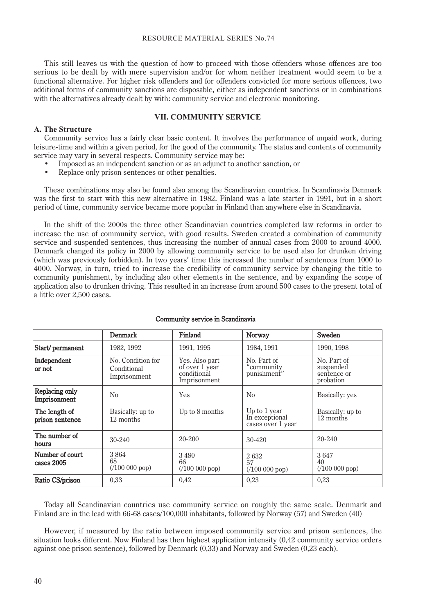This still leaves us with the question of how to proceed with those offenders whose offences are too serious to be dealt by with mere supervision and/or for whom neither treatment would seem to be a functional alternative. For higher risk offenders and for offenders convicted for more serious offences, two additional forms of community sanctions are disposable, either as independent sanctions or in combinations with the alternatives already dealt by with: community service and electronic monitoring.

# **VII. COMMUNITY SERVICE**

# **A. The Structure**

Community service has a fairly clear basic content. It involves the performance of unpaid work, during leisure-time and within a given period, for the good of the community. The status and contents of community service may vary in several respects. Community service may be:

- Imposed as an independent sanction or as an adjunct to another sanction, or
- Replace only prison sentences or other penalties.

These combinations may also be found also among the Scandinavian countries. In Scandinavia Denmark was the first to start with this new alternative in 1982. Finland was a late starter in 1991, but in a short period of time, community service became more popular in Finland than anywhere else in Scandinavia.

In the shift of the 2000s the three other Scandinavian countries completed law reforms in order to increase the use of community service, with good results. Sweden created a combination of community service and suspended sentences, thus increasing the number of annual cases from 2000 to around 4000. Denmark changed its policy in 2000 by allowing community service to be used also for drunken driving (which was previously forbidden). In two years' time this increased the number of sentences from 1000 to 4000. Norway, in turn, tried to increase the credibility of community service by changing the title to community punishment, by including also other elements in the sentence, and by expanding the scope of application also to drunken driving. This resulted in an increase from around 500 cases to the present total of a little over 2,500 cases.

|                                  | <b>Denmark</b>                                   | Finland                                                         | Norway                                              | Sweden                                               |
|----------------------------------|--------------------------------------------------|-----------------------------------------------------------------|-----------------------------------------------------|------------------------------------------------------|
| Start/permanent                  | 1982, 1992                                       | 1991, 1995                                                      | 1984, 1991                                          | 1990, 1998                                           |
| Independent<br>or not            | No. Condition for<br>Conditional<br>Imprisonment | Yes. Also part<br>of over 1 year<br>conditional<br>Imprisonment | No. Part of<br>"community"<br>punishment"           | No. Part of<br>suspended<br>sentence or<br>probation |
| Replacing only<br>Imprisonment   | No                                               | Yes                                                             | No                                                  | Basically: yes                                       |
| The length of<br>prison sentence | Basically: up to<br>12 months                    | Up to 8 months                                                  | Up to 1 year<br>In exceptional<br>cases over 1 year | Basically: up to<br>12 months                        |
| The number of<br>hours           | $30 - 240$                                       | 20-200                                                          | $30 - 420$                                          | 20-240                                               |
| Number of court<br>cases 2005    | 3864<br>68<br>$(100 000$ pop)                    | 3480<br>66<br>$(100 000$ pop)                                   | 2632<br>57<br>(100 000 pop)                         | 3647<br>40<br>(100 000 pop)                          |
| Ratio CS/prison                  | 0,33                                             | 0.42                                                            | 0,23                                                | 0,23                                                 |

# Community service in Scandinavia

Today all Scandinavian countries use community service on roughly the same scale. Denmark and Finland are in the lead with 66-68 cases/100,000 inhabitants, followed by Norway (57) and Sweden (40)

However, if measured by the ratio between imposed community service and prison sentences, the situation looks different. Now Finland has then highest application intensity (0,42 community service orders against one prison sentence), followed by Denmark (0,33) and Norway and Sweden (0,23 each).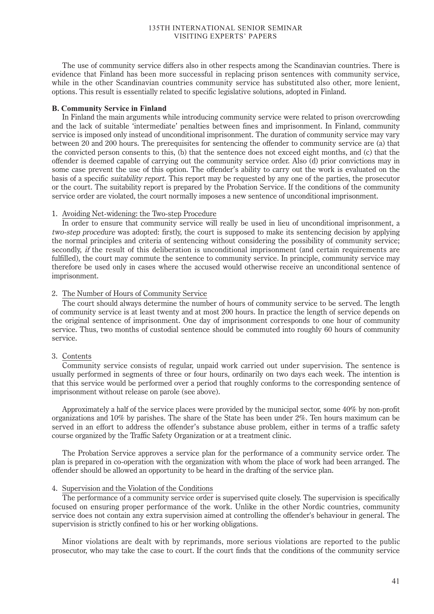The use of community service differs also in other respects among the Scandinavian countries. There is evidence that Finland has been more successful in replacing prison sentences with community service, while in the other Scandinavian countries community service has substituted also other, more lenient, options. This result is essentially related to specific legislative solutions, adopted in Finland.

## **B. Community Service in Finland**

In Finland the main arguments while introducing community service were related to prison overcrowding and the lack of suitable 'intermediate' penalties between fines and imprisonment. In Finland, community service is imposed only instead of unconditional imprisonment. The duration of community service may vary between 20 and 200 hours. The prerequisites for sentencing the offender to community service are (a) that the convicted person consents to this, (b) that the sentence does not exceed eight months, and (c) that the offender is deemed capable of carrying out the community service order. Also (d) prior convictions may in some case prevent the use of this option. The offender's ability to carry out the work is evaluated on the basis of a specific suitability report. This report may be requested by any one of the parties, the prosecutor or the court. The suitability report is prepared by the Probation Service. If the conditions of the community service order are violated, the court normally imposes a new sentence of unconditional imprisonment.

## 1. Avoiding Net-widening: the Two-step Procedure

In order to ensure that community service will really be used in lieu of unconditional imprisonment, a two-step procedure was adopted: firstly, the court is supposed to make its sentencing decision by applying the normal principles and criteria of sentencing without considering the possibility of community service; secondly, if the result of this deliberation is unconditional imprisonment (and certain requirements are fulfilled), the court may commute the sentence to community service. In principle, community service may therefore be used only in cases where the accused would otherwise receive an unconditional sentence of imprisonment.

# 2. The Number of Hours of Community Service

The court should always determine the number of hours of community service to be served. The length of community service is at least twenty and at most 200 hours. In practice the length of service depends on the original sentence of imprisonment. One day of imprisonment corresponds to one hour of community service. Thus, two months of custodial sentence should be commuted into roughly 60 hours of community service.

## 3. Contents

Community service consists of regular, unpaid work carried out under supervision. The sentence is usually performed in segments of three or four hours, ordinarily on two days each week. The intention is that this service would be performed over a period that roughly conforms to the corresponding sentence of imprisonment without release on parole (see above).

Approximately a half of the service places were provided by the municipal sector, some 40% by non-profit organizations and 10% by parishes. The share of the State has been under 2%. Ten hours maximum can be served in an effort to address the offender's substance abuse problem, either in terms of a traffic safety course organized by the Traffic Safety Organization or at a treatment clinic.

The Probation Service approves a service plan for the performance of a community service order. The plan is prepared in co-operation with the organization with whom the place of work had been arranged. The offender should be allowed an opportunity to be heard in the drafting of the service plan.

#### 4. Supervision and the Violation of the Conditions

The performance of a community service order is supervised quite closely. The supervision is specifically focused on ensuring proper performance of the work. Unlike in the other Nordic countries, community service does not contain any extra supervision aimed at controlling the offender's behaviour in general. The supervision is strictly confined to his or her working obligations.

Minor violations are dealt with by reprimands, more serious violations are reported to the public prosecutor, who may take the case to court. If the court finds that the conditions of the community service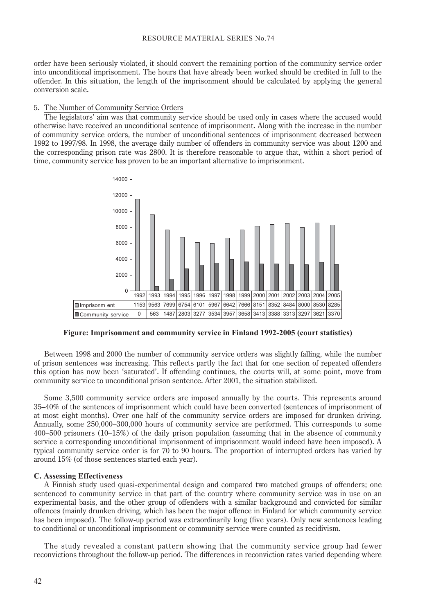order have been seriously violated, it should convert the remaining portion of the community service order into unconditional imprisonment. The hours that have already been worked should be credited in full to the offender. In this situation, the length of the imprisonment should be calculated by applying the general conversion scale.

#### 5. The Number of Community Service Orders

The legislators' aim was that community service should be used only in cases where the accused would otherwise have received an unconditional sentence of imprisonment. Along with the increase in the number of community service orders, the number of unconditional sentences of imprisonment decreased between 1992 to 1997/98. In 1998, the average daily number of offenders in community service was about 1200 and the corresponding prison rate was 2800. It is therefore reasonable to argue that, within a short period of time, community service has proven to be an important alternative to imprisonment.



**Figure: Imprisonment and community service in Finland 1992-2005 (court statistics)**

Between 1998 and 2000 the number of community service orders was slightly falling, while the number of prison sentences was increasing. This reflects partly the fact that for one section of repeated offenders this option has now been 'saturated'. If offending continues, the courts will, at some point, move from community service to unconditional prison sentence. After 2001, the situation stabilized.

Some 3,500 community service orders are imposed annually by the courts. This represents around 35–40% of the sentences of imprisonment which could have been converted (sentences of imprisonment of at most eight months). Over one half of the community service orders are imposed for drunken driving. Annually, some 250,000–300,000 hours of community service are performed. This corresponds to some 400–500 prisoners (10–15%) of the daily prison population (assuming that in the absence of community service a corresponding unconditional imprisonment of imprisonment would indeed have been imposed). A typical community service order is for 70 to 90 hours. The proportion of interrupted orders has varied by around 15% (of those sentences started each year).

# **C. Assessing Effectiveness**

A Finnish study used quasi-experimental design and compared two matched groups of offenders; one sentenced to community service in that part of the country where community service was in use on an experimental basis, and the other group of offenders with a similar background and convicted for similar offences (mainly drunken driving, which has been the major offence in Finland for which community service has been imposed). The follow-up period was extraordinarily long (five years). Only new sentences leading to conditional or unconditional imprisonment or community service were counted as recidivism.

The study revealed a constant pattern showing that the community service group had fewer reconvictions throughout the follow-up period. The differences in reconviction rates varied depending where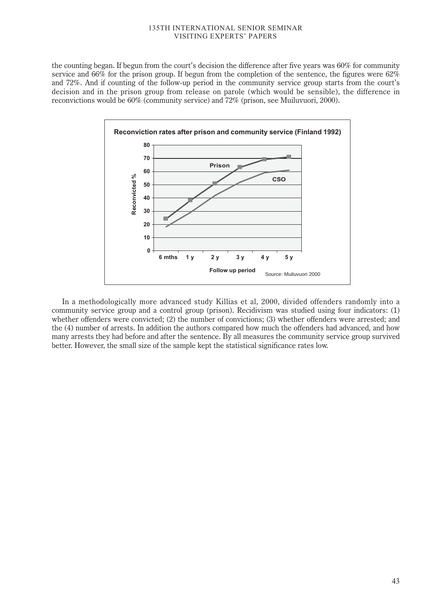the counting began. If begun from the court's decision the difference after five years was 60% for community service and 66% for the prison group. If begun from the completion of the sentence, the figures were 62% and 72%. And if counting of the follow-up period in the community service group starts from the court's decision and in the prison group from release on parole (which would be sensible), the difference in reconvictions would be 60% (community service) and 72% (prison, see Muiluvuori, 2000).



In a methodologically more advanced study Killias et al, 2000, divided offenders randomly into a community service group and a control group (prison). Recidivism was studied using four indicators: (1) whether offenders were convicted; (2) the number of convictions; (3) whether offenders were arrested; and the (4) number of arrests. In addition the authors compared how much the offenders had advanced, and how many arrests they had before and after the sentence. By all measures the community service group survived better. However, the small size of the sample kept the statistical significance rates low.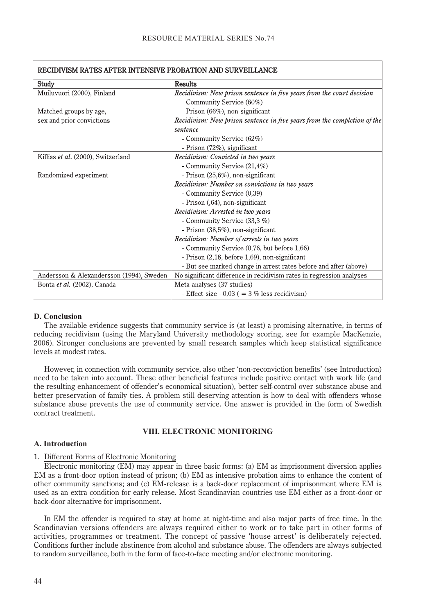| RECIDIVISM RATES AFTER INTENSIVE PROBATION AND SURVEILLANCE |                                                                          |
|-------------------------------------------------------------|--------------------------------------------------------------------------|
| Study                                                       | <b>Results</b>                                                           |
| Muiluvuori (2000), Finland                                  | Recidivism: New prison sentence in five years from the court decision    |
|                                                             | - Community Service (60%)                                                |
| Matched groups by age,                                      | - Prison (66%), non-significant                                          |
| sex and prior convictions                                   | Recidivism: New prison sentence in five years from the completion of the |
|                                                             | sentence                                                                 |
|                                                             | - Community Service (62%)                                                |
|                                                             | - Prison $(72\%)$ , significant                                          |
| Killias et al. (2000), Switzerland                          | Recidivism: Convicted in two years                                       |
|                                                             | - Community Service (21,4%)                                              |
| Randomized experiment                                       | - Prison (25,6%), non-significant                                        |
|                                                             | Recidivism: Number on convictions in two years                           |
|                                                             | - Community Service (0,39)                                               |
|                                                             | - Prison (,64), non-significant                                          |
|                                                             | Recidivism: Arrested in two years                                        |
|                                                             | - Community Service (33,3 %)                                             |
|                                                             | - Prison (38,5%), non-significant                                        |
|                                                             | Recidivism: Number of arrests in two years                               |
|                                                             | - Community Service (0,76, but before 1,66)                              |
|                                                             | - Prison $(2,18, \text{ before } 1,69)$ , non-significant                |
|                                                             | - But see marked change in arrest rates before and after (above)         |
| Andersson & Alexandersson (1994), Sweden                    | No significant difference in recidivism rates in regression analyses     |
| Bonta et al. (2002), Canada                                 | Meta-analyses (37 studies)                                               |
|                                                             | - Effect-size - $0.03$ ( = 3 % less recidivism)                          |

#### **D. Conclusion**

The available evidence suggests that community service is (at least) a promising alternative, in terms of reducing recidivism (using the Maryland University methodology scoring, see for example MacKenzie, 2006). Stronger conclusions are prevented by small research samples which keep statistical significance levels at modest rates.

However, in connection with community service, also other 'non-reconviction benefits' (see Introduction) need to be taken into account. These other beneficial features include positive contact with work life (and the resulting enhancement of offender's economical situation), better self-control over substance abuse and better preservation of family ties. A problem still deserving attention is how to deal with offenders whose substance abuse prevents the use of community service. One answer is provided in the form of Swedish contract treatment.

#### **VIII. ELECTRONIC MONITORING**

#### **A. Introduction**

# 1. Different Forms of Electronic Monitoring

Electronic monitoring (EM) may appear in three basic forms: (a) EM as imprisonment diversion applies EM as a front-door option instead of prison; (b) EM as intensive probation aims to enhance the content of other community sanctions; and (c) EM-release is a back-door replacement of imprisonment where EM is used as an extra condition for early release. Most Scandinavian countries use EM either as a front-door or back-door alternative for imprisonment.

In EM the offender is required to stay at home at night-time and also major parts of free time. In the Scandinavian versions offenders are always required either to work or to take part in other forms of activities, programmes or treatment. The concept of passive 'house arrest' is deliberately rejected. Conditions further include abstinence from alcohol and substance abuse. The offenders are always subjected to random surveillance, both in the form of face-to-face meeting and/or electronic monitoring.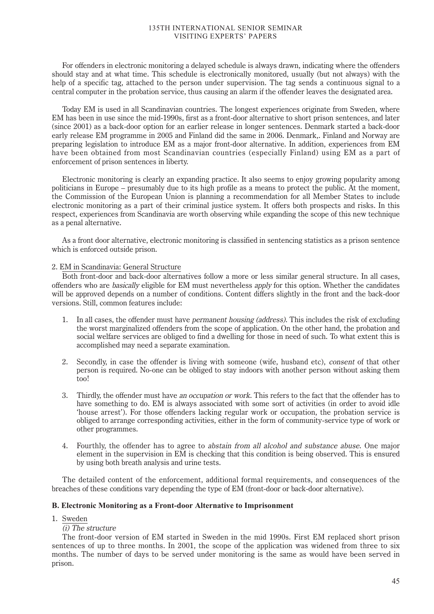For offenders in electronic monitoring a delayed schedule is always drawn, indicating where the offenders should stay and at what time. This schedule is electronically monitored, usually (but not always) with the help of a specific tag, attached to the person under supervision. The tag sends a continuous signal to a central computer in the probation service, thus causing an alarm if the offender leaves the designated area.

Today EM is used in all Scandinavian countries. The longest experiences originate from Sweden, where EM has been in use since the mid-1990s, first as a front-door alternative to short prison sentences, and later (since 2001) as a back-door option for an earlier release in longer sentences. Denmark started a back-door early release EM programme in 2005 and Finland did the same in 2006. Denmark,. Finland and Norway are preparing legislation to introduce EM as a major front-door alternative. In addition, experiences from EM have been obtained from most Scandinavian countries (especially Finland) using EM as a part of enforcement of prison sentences in liberty.

Electronic monitoring is clearly an expanding practice. It also seems to enjoy growing popularity among politicians in Europe – presumably due to its high profile as a means to protect the public. At the moment, the Commission of the European Union is planning a recommendation for all Member States to include electronic monitoring as a part of their criminal justice system. It offers both prospects and risks. In this respect, experiences from Scandinavia are worth observing while expanding the scope of this new technique as a penal alternative.

As a front door alternative, electronic monitoring is classified in sentencing statistics as a prison sentence which is enforced outside prison.

# 2. EM in Scandinavia: General Structure

Both front-door and back-door alternatives follow a more or less similar general structure. In all cases, offenders who are basically eligible for EM must nevertheless apply for this option. Whether the candidates will be approved depends on a number of conditions. Content differs slightly in the front and the back-door versions. Still, common features include:

- 1. In all cases, the offender must have permanent housing (address). This includes the risk of excluding the worst marginalized offenders from the scope of application. On the other hand, the probation and social welfare services are obliged to find a dwelling for those in need of such. To what extent this is accomplished may need a separate examination.
- 2. Secondly, in case the offender is living with someone (wife, husband etc), consent of that other person is required. No-one can be obliged to stay indoors with another person without asking them too!
- 3. Thirdly, the offender must have an occupation or work. This refers to the fact that the offender has to have something to do. EM is always associated with some sort of activities (in order to avoid idle 'house arrest'). For those offenders lacking regular work or occupation, the probation service is obliged to arrange corresponding activities, either in the form of community-service type of work or other programmes.
- 4. Fourthly, the offender has to agree to abstain from all alcohol and substance abuse. One major element in the supervision in EM is checking that this condition is being observed. This is ensured by using both breath analysis and urine tests.

The detailed content of the enforcement, additional formal requirements, and consequences of the breaches of these conditions vary depending the type of EM (front-door or back-door alternative).

# **B. Electronic Monitoring as a Front-door Alternative to Imprisonment**

1. Sweden

# (i) The structure

The front-door version of EM started in Sweden in the mid 1990s. First EM replaced short prison sentences of up to three months. In 2001, the scope of the application was widened from three to six months. The number of days to be served under monitoring is the same as would have been served in prison.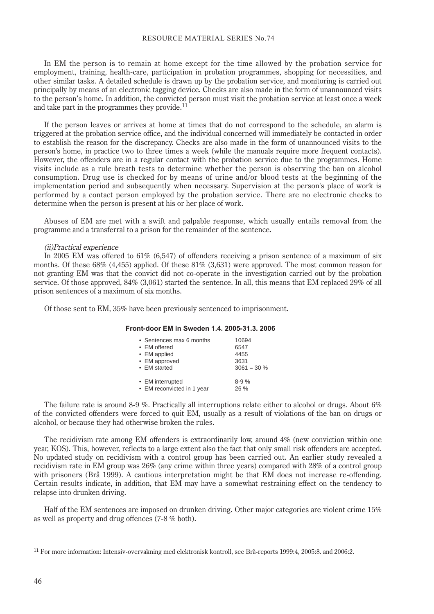In EM the person is to remain at home except for the time allowed by the probation service for employment, training, health-care, participation in probation programmes, shopping for necessities, and other similar tasks. A detailed schedule is drawn up by the probation service, and monitoring is carried out principally by means of an electronic tagging device. Checks are also made in the form of unannounced visits to the person's home. In addition, the convicted person must visit the probation service at least once a week and take part in the programmes they provide.<sup>11</sup>

If the person leaves or arrives at home at times that do not correspond to the schedule, an alarm is triggered at the probation service office, and the individual concerned will immediately be contacted in order to establish the reason for the discrepancy. Checks are also made in the form of unannounced visits to the person's home, in practice two to three times a week (while the manuals require more frequent contacts). However, the offenders are in a regular contact with the probation service due to the programmes. Home visits include as a rule breath tests to determine whether the person is observing the ban on alcohol consumption. Drug use is checked for by means of urine and/or blood tests at the beginning of the implementation period and subsequently when necessary. Supervision at the person's place of work is performed by a contact person employed by the probation service. There are no electronic checks to determine when the person is present at his or her place of work.

Abuses of EM are met with a swift and palpable response, which usually entails removal from the programme and a transferral to a prison for the remainder of the sentence.

#### (ii)Practical experience

In 2005 EM was offered to 61% (6,547) of offenders receiving a prison sentence of a maximum of six months. Of these 68% (4,455) applied. Of these 81% (3,631) were approved. The most common reason for not granting EM was that the convict did not co-operate in the investigation carried out by the probation service. Of those approved, 84% (3,061) started the sentence. In all, this means that EM replaced 29% of all prison sentences of a maximum of six months.

Of those sent to EM, 35% have been previously sentenced to imprisonment.

## **Front-door EM in Sweden 1.4. 2005-31.3. 2006**

| • Sentences max 6 months   | 10694          |
|----------------------------|----------------|
| • EM offered               | 6547           |
| • EM applied               | 4455           |
| • EM approved              | 3631           |
| • EM started               | $3061 = 30 \%$ |
| • EM interrupted           | $8-9%$         |
| • EM reconvicted in 1 year | 26%            |

The failure rate is around 8-9 %. Practically all interruptions relate either to alcohol or drugs. About 6% of the convicted offenders were forced to quit EM, usually as a result of violations of the ban on drugs or alcohol, or because they had otherwise broken the rules.

The recidivism rate among EM offenders is extraordinarily low, around 4% (new conviction within one year, KOS). This, however, reflects to a large extent also the fact that only small risk offenders are accepted. No updated study on recidivism with a control group has been carried out. An earlier study revealed a recidivism rate in EM group was 26% (any crime within three years) compared with 28% of a control group with prisoners (Brå 1999). A cautious interpretation might be that EM does not increase re-offending. Certain results indicate, in addition, that EM may have a somewhat restraining effect on the tendency to relapse into drunken driving.

Half of the EM sentences are imposed on drunken driving. Other major categories are violent crime 15% as well as property and drug offences (7-8 % both).

<sup>11</sup> For more information: Intensiv-overvakning med elektronisk kontroll, see Brå-reports 1999:4, 2005:8. and 2006:2.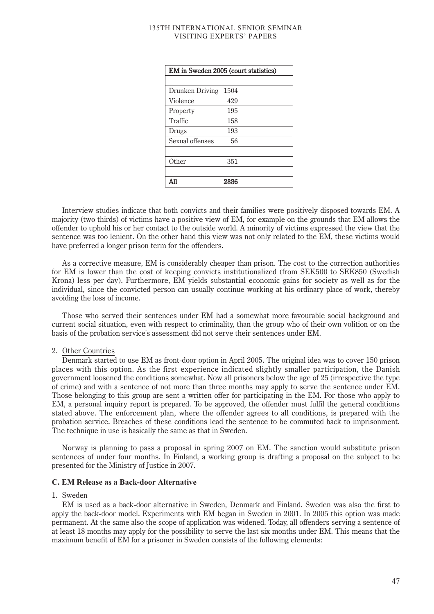| EM in Sweden 2005 (court statistics) |      |  |
|--------------------------------------|------|--|
|                                      |      |  |
| Drunken Driving                      | 1504 |  |
| Violence                             | 429  |  |
| Property                             | 195  |  |
| Traffic                              | 158  |  |
| Drugs                                | 193  |  |
| Sexual offenses                      | 56   |  |
|                                      |      |  |
| Other                                | 351  |  |
|                                      |      |  |
| A11                                  | 2886 |  |

Interview studies indicate that both convicts and their families were positively disposed towards EM. A majority (two thirds) of victims have a positive view of EM, for example on the grounds that EM allows the offender to uphold his or her contact to the outside world. A minority of victims expressed the view that the sentence was too lenient. On the other hand this view was not only related to the EM, these victims would have preferred a longer prison term for the offenders.

As a corrective measure, EM is considerably cheaper than prison. The cost to the correction authorities for EM is lower than the cost of keeping convicts institutionalized (from SEK500 to SEK850 (Swedish Krona) less per day). Furthermore, EM yields substantial economic gains for society as well as for the individual, since the convicted person can usually continue working at his ordinary place of work, thereby avoiding the loss of income.

Those who served their sentences under EM had a somewhat more favourable social background and current social situation, even with respect to criminality, than the group who of their own volition or on the basis of the probation service's assessment did not serve their sentences under EM.

# 2. Other Countries

Denmark started to use EM as front-door option in April 2005. The original idea was to cover 150 prison places with this option. As the first experience indicated slightly smaller participation, the Danish government loosened the conditions somewhat. Now all prisoners below the age of 25 (irrespective the type of crime) and with a sentence of not more than three months may apply to serve the sentence under EM. Those belonging to this group are sent a written offer for participating in the EM. For those who apply to EM, a personal inquiry report is prepared. To be approved, the offender must fulfil the general conditions stated above. The enforcement plan, where the offender agrees to all conditions, is prepared with the probation service. Breaches of these conditions lead the sentence to be commuted back to imprisonment. The technique in use is basically the same as that in Sweden.

Norway is planning to pass a proposal in spring 2007 on EM. The sanction would substitute prison sentences of under four months. In Finland, a working group is drafting a proposal on the subject to be presented for the Ministry of Justice in 2007.

#### **C. EM Release as a Back-door Alternative**

# 1. Sweden

EM is used as a back-door alternative in Sweden, Denmark and Finland. Sweden was also the first to apply the back-door model. Experiments with EM began in Sweden in 2001. In 2005 this option was made permanent. At the same also the scope of application was widened. Today, all offenders serving a sentence of at least 18 months may apply for the possibility to serve the last six months under EM. This means that the maximum benefit of EM for a prisoner in Sweden consists of the following elements: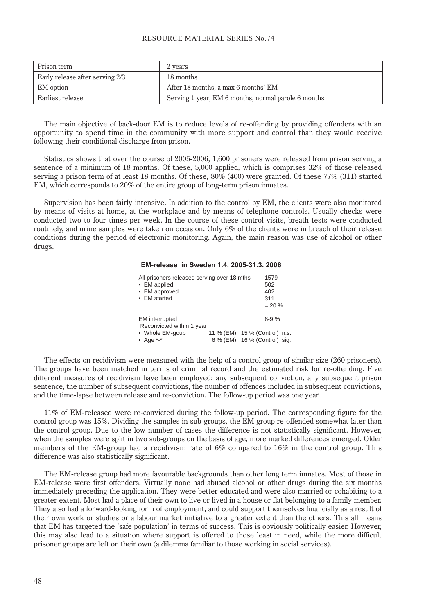| Prison term                     | 2 years                                             |
|---------------------------------|-----------------------------------------------------|
| Early release after serving 2/3 | 18 months                                           |
| EM option                       | After 18 months, a max 6 months' EM                 |
| Earliest release                | Serving 1 year, EM 6 months, normal parole 6 months |

The main objective of back-door EM is to reduce levels of re-offending by providing offenders with an opportunity to spend time in the community with more support and control than they would receive following their conditional discharge from prison.

Statistics shows that over the course of 2005-2006, 1,600 prisoners were released from prison serving a sentence of a minimum of 18 months. Of these, 5,000 applied, which is comprises 32% of those released serving a prison term of at least 18 months. Of these, 80% (400) were granted. Of these 77% (311) started EM, which corresponds to 20% of the entire group of long-term prison inmates.

Supervision has been fairly intensive. In addition to the control by EM, the clients were also monitored by means of visits at home, at the workplace and by means of telephone controls. Usually checks were conducted two to four times per week. In the course of these control visits, breath tests were conducted routinely, and urine samples were taken on occasion. Only 6% of the clients were in breach of their release conditions during the period of electronic monitoring. Again, the main reason was use of alcohol or other drugs.

#### **EM-release in Sweden 1.4. 2005-31.3. 2006**

| 1579                                                                     |
|--------------------------------------------------------------------------|
| 502                                                                      |
| 402                                                                      |
| 311                                                                      |
| $= 20 \%$                                                                |
| $8 - 9%$                                                                 |
|                                                                          |
| 11 % (EM) 15 % (Control) n.s.<br>6 % (EM) 16 % (Control) sig.            |
| All prisoners released serving over 18 mths<br>Reconvicted within 1 year |

The effects on recidivism were measured with the help of a control group of similar size (260 prisoners). The groups have been matched in terms of criminal record and the estimated risk for re-offending. Five different measures of recidivism have been employed: any subsequent conviction, any subsequent prison sentence, the number of subsequent convictions, the number of offences included in subsequent convictions, and the time-lapse between release and re-conviction. The follow-up period was one year.

11% of EM-released were re-convicted during the follow-up period. The corresponding figure for the control group was 15%. Dividing the samples in sub-groups, the EM group re-offended somewhat later than the control group. Due to the low number of cases the difference is not statistically significant. However, when the samples were split in two sub-groups on the basis of age, more marked differences emerged. Older members of the EM-group had a recidivism rate of 6% compared to 16% in the control group. This difference was also statistically significant.

The EM-release group had more favourable backgrounds than other long term inmates. Most of those in EM-release were first offenders. Virtually none had abused alcohol or other drugs during the six months immediately preceding the application. They were better educated and were also married or cohabiting to a greater extent. Most had a place of their own to live or lived in a house or flat belonging to a family member. They also had a forward-looking form of employment, and could support themselves financially as a result of their own work or studies or a labour market initiative to a greater extent than the others. This all means that EM has targeted the 'safe population' in terms of success. This is obviously politically easier. However, this may also lead to a situation where support is offered to those least in need, while the more difficult prisoner groups are left on their own (a dilemma familiar to those working in social services).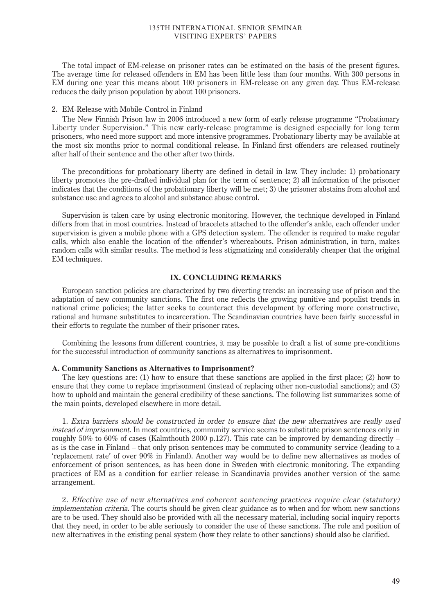The total impact of EM-release on prisoner rates can be estimated on the basis of the present figures. The average time for released offenders in EM has been little less than four months. With 300 persons in EM during one year this means about 100 prisoners in EM-release on any given day. Thus EM-release reduces the daily prison population by about 100 prisoners.

#### 2. EM-Release with Mobile-Control in Finland

The New Finnish Prison law in 2006 introduced a new form of early release programme "Probationary Liberty under Supervision." This new early-release programme is designed especially for long term prisoners, who need more support and more intensive programmes. Probationary liberty may be available at the most six months prior to normal conditional release. In Finland first offenders are released routinely after half of their sentence and the other after two thirds.

The preconditions for probationary liberty are defined in detail in law. They include: 1) probationary liberty promotes the pre-drafted individual plan for the term of sentence; 2) all information of the prisoner indicates that the conditions of the probationary liberty will be met; 3) the prisoner abstains from alcohol and substance use and agrees to alcohol and substance abuse control.

Supervision is taken care by using electronic monitoring. However, the technique developed in Finland differs from that in most countries. Instead of bracelets attached to the offender's ankle, each offender under supervision is given a mobile phone with a GPS detection system. The offender is required to make regular calls, which also enable the location of the offender's whereabouts. Prison administration, in turn, makes random calls with similar results. The method is less stigmatizing and considerably cheaper that the original EM techniques.

# **IX. CONCLUDING REMARKS**

European sanction policies are characterized by two diverting trends: an increasing use of prison and the adaptation of new community sanctions. The first one reflects the growing punitive and populist trends in national crime policies; the latter seeks to counteract this development by offering more constructive, rational and humane substitutes to incarceration. The Scandinavian countries have been fairly successful in their efforts to regulate the number of their prisoner rates.

Combining the lessons from different countries, it may be possible to draft a list of some pre-conditions for the successful introduction of community sanctions as alternatives to imprisonment.

#### **A. Community Sanctions as Alternatives to Imprisonment?**

The key questions are: (1) how to ensure that these sanctions are applied in the first place; (2) how to ensure that they come to replace imprisonment (instead of replacing other non-custodial sanctions); and (3) how to uphold and maintain the general credibility of these sanctions. The following list summarizes some of the main points, developed elsewhere in more detail.

1. Extra barriers should be constructed in order to ensure that the new alternatives are really used instead of imprisonment. In most countries, community service seems to substitute prison sentences only in roughly 50% to 60% of cases (Kalmthouth 2000 p.127). This rate can be improved by demanding directly – as is the case in Finland – that only prison sentences may be commuted to community service (leading to a 'replacement rate' of over 90% in Finland). Another way would be to define new alternatives as modes of enforcement of prison sentences, as has been done in Sweden with electronic monitoring. The expanding practices of EM as a condition for earlier release in Scandinavia provides another version of the same arrangement.

2. Effective use of new alternatives and coherent sentencing practices require clear (statutory) implementation criteria. The courts should be given clear guidance as to when and for whom new sanctions are to be used. They should also be provided with all the necessary material, including social inquiry reports that they need, in order to be able seriously to consider the use of these sanctions. The role and position of new alternatives in the existing penal system (how they relate to other sanctions) should also be clarified.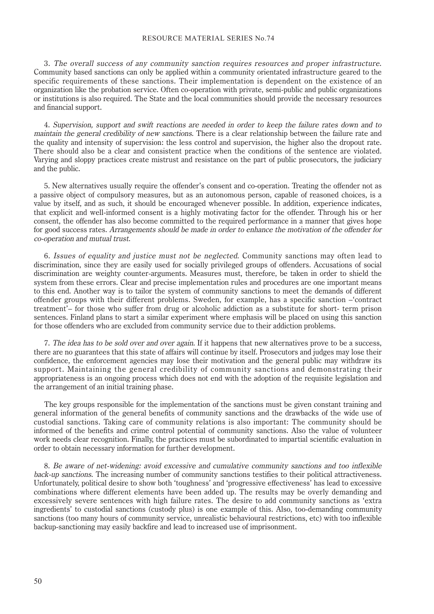3. The overall success of any community sanction requires resources and proper infrastructure. Community based sanctions can only be applied within a community orientated infrastructure geared to the specific requirements of these sanctions. Their implementation is dependent on the existence of an organization like the probation service. Often co-operation with private, semi-public and public organizations or institutions is also required. The State and the local communities should provide the necessary resources and financial support.

4. Supervision, support and swift reactions are needed in order to keep the failure rates down and to maintain the general credibility of new sanctions. There is a clear relationship between the failure rate and the quality and intensity of supervision: the less control and supervision, the higher also the dropout rate. There should also be a clear and consistent practice when the conditions of the sentence are violated. Varying and sloppy practices create mistrust and resistance on the part of public prosecutors, the judiciary and the public.

5. New alternatives usually require the offender's consent and co-operation. Treating the offender not as a passive object of compulsory measures, but as an autonomous person, capable of reasoned choices, is a value by itself, and as such, it should be encouraged whenever possible. In addition, experience indicates, that explicit and well-informed consent is a highly motivating factor for the offender. Through his or her consent, the offender has also become committed to the required performance in a manner that gives hope for good success rates. Arrangements should be made in order to enhance the motivation of the offender for co-operation and mutual trust.

6. Issues of equality and justice must not be neglected. Community sanctions may often lead to discrimination, since they are easily used for socially privileged groups of offenders. Accusations of social discrimination are weighty counter-arguments. Measures must, therefore, be taken in order to shield the system from these errors. Clear and precise implementation rules and procedures are one important means to this end. Another way is to tailor the system of community sanctions to meet the demands of different offender groups with their different problems. Sweden, for example, has a specific sanction –'contract treatment'– for those who suffer from drug or alcoholic addiction as a substitute for short- term prison sentences. Finland plans to start a similar experiment where emphasis will be placed on using this sanction for those offenders who are excluded from community service due to their addiction problems.

7. The idea has to be sold over and over again. If it happens that new alternatives prove to be a success, there are no guarantees that this state of affairs will continue by itself. Prosecutors and judges may lose their confidence, the enforcement agencies may lose their motivation and the general public may withdraw its support. Maintaining the general credibility of community sanctions and demonstrating their appropriateness is an ongoing process which does not end with the adoption of the requisite legislation and the arrangement of an initial training phase.

The key groups responsible for the implementation of the sanctions must be given constant training and general information of the general benefits of community sanctions and the drawbacks of the wide use of custodial sanctions. Taking care of community relations is also important: The community should be informed of the benefits and crime control potential of community sanctions. Also the value of volunteer work needs clear recognition. Finally, the practices must be subordinated to impartial scientific evaluation in order to obtain necessary information for further development.

8. Be aware of net-widening: avoid excessive and cumulative community sanctions and too inflexible back-up sanctions. The increasing number of community sanctions testifies to their political attractiveness. Unfortunately, political desire to show both 'toughness' and 'progressive effectiveness' has lead to excessive combinations where different elements have been added up. The results may be overly demanding and excessively severe sentences with high failure rates. The desire to add community sanctions as 'extra ingredients' to custodial sanctions (custody plus) is one example of this. Also, too-demanding community sanctions (too many hours of community service, unrealistic behavioural restrictions, etc) with too inflexible backup-sanctioning may easily backfire and lead to increased use of imprisonment.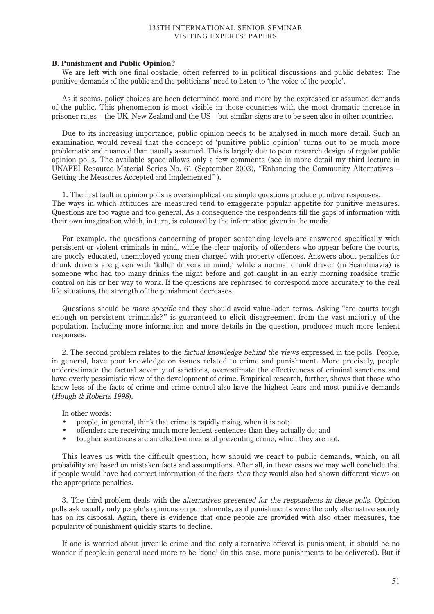#### **B. Punishment and Public Opinion?**

We are left with one final obstacle, often referred to in political discussions and public debates: The punitive demands of the public and the politicians' need to listen to 'the voice of the people'.

As it seems, policy choices are been determined more and more by the expressed or assumed demands of the public. This phenomenon is most visible in those countries with the most dramatic increase in prisoner rates – the UK, New Zealand and the US – but similar signs are to be seen also in other countries.

Due to its increasing importance, public opinion needs to be analysed in much more detail. Such an examination would reveal that the concept of 'punitive public opinion' turns out to be much more problematic and nuanced than usually assumed. This is largely due to poor research design of regular public opinion polls. The available space allows only a few comments (see in more detail my third lecture in UNAFEI Resource Material Series No. 61 (September 2003), "Enhancing the Community Alternatives – Getting the Measures Accepted and Implemented" ).

1. The first fault in opinion polls is oversimplification: simple questions produce punitive responses. The ways in which attitudes are measured tend to exaggerate popular appetite for punitive measures. Questions are too vague and too general. As a consequence the respondents fill the gaps of information with their own imagination which, in turn, is coloured by the information given in the media.

For example, the questions concerning of proper sentencing levels are answered specifically with persistent or violent criminals in mind, while the clear majority of offenders who appear before the courts, are poorly educated, unemployed young men charged with property offences. Answers about penalties for drunk drivers are given with 'killer drivers in mind,' while a normal drunk driver (in Scandinavia) is someone who had too many drinks the night before and got caught in an early morning roadside traffic control on his or her way to work. If the questions are rephrased to correspond more accurately to the real life situations, the strength of the punishment decreases.

Questions should be more specific and they should avoid value-laden terms. Asking "are courts tough enough on persistent criminals?" is guaranteed to elicit disagreement from the vast majority of the population. Including more information and more details in the question, produces much more lenient responses.

2. The second problem relates to the factual knowledge behind the views expressed in the polls. People, in general, have poor knowledge on issues related to crime and punishment. More precisely, people underestimate the factual severity of sanctions, overestimate the effectiveness of criminal sanctions and have overly pessimistic view of the development of crime. Empirical research, further, shows that those who know less of the facts of crime and crime control also have the highest fears and most punitive demands (Hough & Roberts 1998).

In other words:

- people, in general, think that crime is rapidly rising, when it is not;
- offenders are receiving much more lenient sentences than they actually do; and
- tougher sentences are an effective means of preventing crime, which they are not.

This leaves us with the difficult question, how should we react to public demands, which, on all probability are based on mistaken facts and assumptions. After all, in these cases we may well conclude that if people would have had correct information of the facts then they would also had shown different views on the appropriate penalties.

3. The third problem deals with the alternatives presented for the respondents in these polls. Opinion polls ask usually only people's opinions on punishments, as if punishments were the only alternative society has on its disposal. Again, there is evidence that once people are provided with also other measures, the popularity of punishment quickly starts to decline.

If one is worried about juvenile crime and the only alternative offered is punishment, it should be no wonder if people in general need more to be 'done' (in this case, more punishments to be delivered). But if